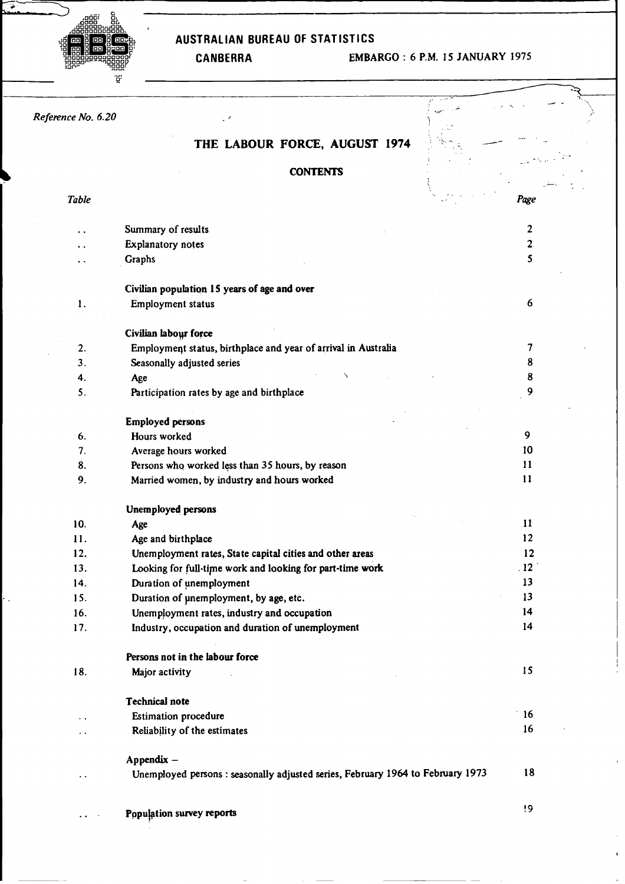# .oooou **oo <sup>0000</sup>0L .0000** DC. **.000OO0UOOL** .ooooooooooo

 $\overline{\bullet}$ 

# **nobleddock**<br> **lead and an australian bureau of STATISTICS**<br> **lead and all of the STATISTICS**

# **fl0 OD000000oOO** CANBERRA EMBARGO : 6 P.M. 15 JANUARY 1975

| Reference No. 6.20   |                                                                                 |                  |
|----------------------|---------------------------------------------------------------------------------|------------------|
|                      | THE LABOUR FORCE, AUGUST 1974                                                   |                  |
|                      |                                                                                 |                  |
|                      | <b>CONTENTS</b>                                                                 |                  |
|                      |                                                                                 |                  |
| <b>Table</b>         |                                                                                 | Page             |
|                      | Summary of results                                                              | $\boldsymbol{2}$ |
|                      | Explanatory notes                                                               | $\mathbf{2}$     |
| . .                  | Graphs                                                                          | 5                |
|                      | Civilian population 15 years of age and over                                    |                  |
| 1.                   | Employment status                                                               | 6                |
|                      |                                                                                 |                  |
|                      | Civilian labour force                                                           |                  |
| 2.                   | Employment status, birthplace and year of arrival in Australia                  | 7                |
| 3.                   | Seasonally adjusted series                                                      | 8                |
| 4.                   | Age                                                                             | 8                |
| 5.                   | Participation rates by age and birthplace                                       | 9                |
|                      | <b>Employed persons</b>                                                         |                  |
| 6.                   | Hours worked                                                                    | 9                |
| 7.                   | Average hours worked                                                            | 10               |
| 8.                   | Persons who worked less than 35 hours, by reason                                | 11               |
| 9.                   | Married women, by industry and hours worked                                     | 11               |
|                      | <b>Unemployed persons</b>                                                       |                  |
| 10.                  | Age                                                                             | 11               |
| 11.                  | Age and birthplace                                                              | 12               |
| 12.                  | Unemployment rates, State capital cities and other areas                        | 12               |
| 13.                  | Looking for full-time work and looking for part-time work                       | .12              |
| 14.                  | Duration of unemployment                                                        | 13               |
| 15.                  | Duration of unemployment, by age, etc.                                          | 13               |
| 16.                  | Unemployment rates, industry and occupation                                     | 14               |
| 17.                  | Industry, occupation and duration of unemployment                               | 14               |
|                      | Persons not in the labour force                                                 |                  |
| 18.                  | Major activity                                                                  | 15               |
|                      | <b>Technical note</b>                                                           |                  |
| $\ddot{\phantom{0}}$ | <b>Estimation procedure</b>                                                     | 16               |
| $\ddot{\phantom{0}}$ | Reliability of the estimates                                                    | 16               |
|                      |                                                                                 |                  |
|                      | Appendix -                                                                      |                  |
| . .                  | Unemployed persons : seasonally adjusted series, February 1964 to February 1973 | 18               |
|                      |                                                                                 | 19               |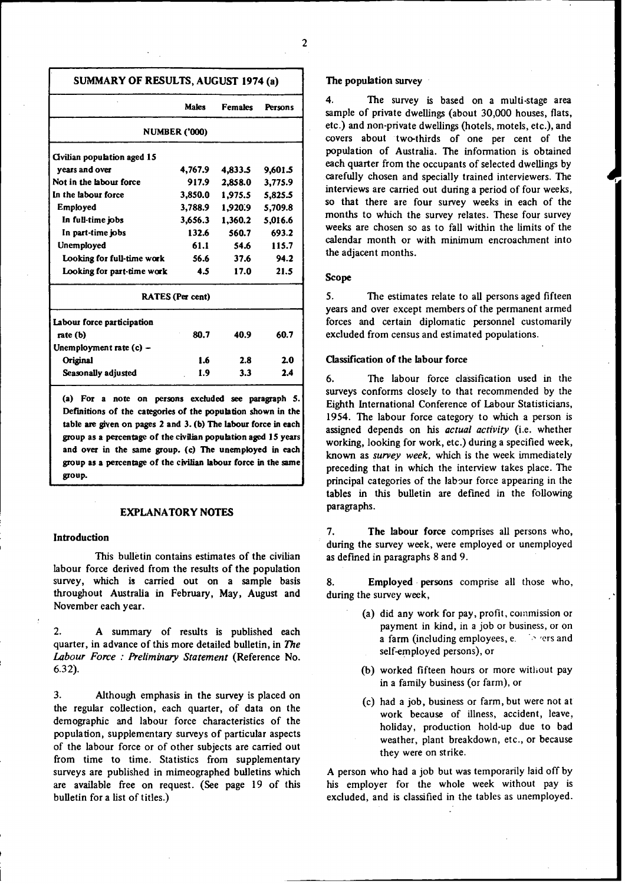| SUMMARY OF RESULTS, AUGUST 1974 (a) |  |  |  |  |
|-------------------------------------|--|--|--|--|
|-------------------------------------|--|--|--|--|

|                             | Males                   | <b>Females</b> | <b>Persons</b> |
|-----------------------------|-------------------------|----------------|----------------|
|                             | <b>NUMBER ('000)</b>    |                |                |
| Civilian population aged 15 |                         |                |                |
| years and over              | 4,767.9                 | 4,833.5        | 9,601.5        |
| Not in the labour force     | 917.9                   | 2.858.0        | 3,775.9        |
| In the labour force         | 3,850.0                 | 1.975.5        | 5,825.5        |
| Employed                    | 3,788.9                 | 1,920.9        | 5,709.8        |
| In full-time jobs           | 3,656.3                 | 1,360.2        | 5,016.6        |
| In part-time jobs           | 132.6                   | 560.7          | 693.2          |
| <b>Unemployed</b>           | 61.1                    | 54.6           | 115.7          |
| Looking for full-time work  | 56.6                    | 37.6           | 94.2           |
| Looking for part-time work  | 4.5                     | 17.0           | 21.5           |
|                             | <b>RATES</b> (Per cent) |                |                |
| Labour force participation  |                         |                |                |
| rate (b)                    | 80.7                    | 40.9           | 60.7           |
| Unemployment rate (c) -     |                         |                |                |
| Original                    | 1.6                     | 2.8            | 2.0            |
| Seasonally adjusted         | 1.9                     | 3.3            | 2.4            |
|                             |                         |                |                |

**(a) For a note on persons excluded see paragraph 5. Definitions of the categories of the population shown in the table are given on pages 2 and 3. (b) The labour force in each group as a percentage of the civilian population aged 15 years and over in the same group. (c) The unemployed in each group as a percentage of the civilian labour force in the same group.**

#### **EXPLANATORY NOTES**

#### **Introduction**

This bulletin contains estimates of the civilian labour force derived from the results of the population survey, which **is carried out on a sample basis** throughout Australia in February, May, August and November each year.

2. A summary of results is published each quarter, in advance of this more detailed bulletin, in *The Labour Force : Preliminary Statement* (Reference No. **6.32).**

3. Although emphasis in the survey is placed on the regular collection, each quarter, of data on the demographic and labour force characteristics of the population, supplementary surveys of particular aspects of the labour force or of other subjects are carried out from time to time. Statistics from supplementary surveys are published in mimeographed bulletins which are available free on request. (See page 19 of this bulletin for a list of titles.)

#### **The population survey**

4. The survey is based on a **multi-stage area** sample of private dwellings (about 30,000 houses, flats, etc.) and non-private dwellings (hotels, motels, etc.), and covers about two-thirds of one per cent of the population of Australia. The information is obtained **each quarter** from the occupants of selected dwellings by carefully chosen and specially trained interviewers. The **interviews** are carried out during a period of four weeks, **so that there are** four survey weeks in each of the months to which the survey relates. These four survey **weeks are** chosen so as to fall within the limits of the **calendar** month or with minimum encroachment into the adjacent months.

#### **Scope**

5. The estimates relate to all persons aged fifteen years and over except members of the permanent armed forces and certain diplomatic **personnel** customarily excluded from census and estimated populations.

#### **Classification of the labour force**

6. The labour force classification used in the surveys conforms closely to that recommended by the Eighth International Conference of Labour Statisticians, 1954. The labour force category to which a person is **assigned** depends on **his** *actual activity* (i.e. whether working, looking for work, etc.) during a specified week, known as *survey week,* which is the week immediately **preceding** that in which the interview takes place. The principal categories of the labour force appearing in the **tables** in this **bulletin are** defined in the following **paragraphs.**

**7. The labour force** comprises all persons who, **during** the survey week, were employed or unemployed as defined in paragraphs 8 and 9.

**8. Employed persons comprise** all those who, during the survey week,

- (a) did any work for pay, profit, commission or payment in kind, in a job or business, or on a farm (including employees, e. Figure 2 and self-employed persons), or
- (b) worked fifteen hours or more without pay in a family business (or farm), or
- (c) had a job, business or farm, but were not at work because of illness, accident, leave, holiday, production hold-up due to bad weather, plant breakdown, etc., or because they were on strike.

A person who had a job but was temporarily laid off by his employer for the whole week without pay is excluded, and is classified in the tables as unemployed.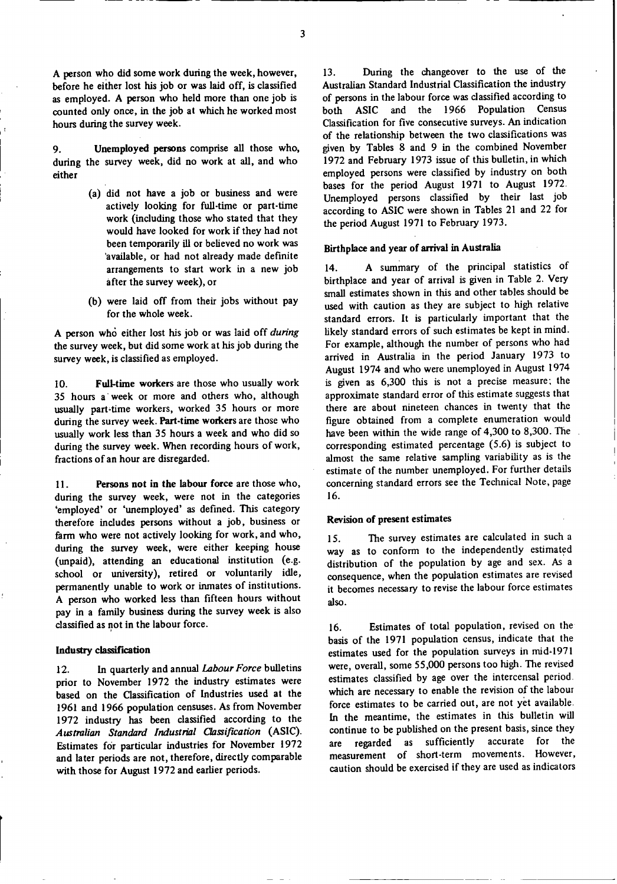A person who did some work during the week, however, before he either lost his job or was laid off, is classified as employed. A person who held more than one job is counted only once, in the job at which he worked most hours during the survey week.

9. **during** the survey week, did no work at all, and who **either Unemployed persons** comprise all those who,

- (a) did not have a job or business and were actively looking for full-time or part-time work **(including** those who stated that they would have looked for work if they had not been temporarily ill or believed no work was 'available, or had not already made definite **arrangements** to start work in a new job after the survey week), or
- (b) were laid off from their jobs without pay for the whole week.

A person **who** either lost his job or **was laid** off *during* the survey week, but did some work at his job during the survey week, is classified as employed.

**10. Full-time workers are** those who usually work 35 hours a week or more and others who, although usually part-time workers, worked 35 hours or more during the survey week. **Part-time workers** are those who usually work less than 35 hours a week and who did so during the survey week. When recording hours of work, fractions of an hour are disregarded.

**11. Persons not in the labour force** are those who, during the survey week, were not in the categories 'employed' or 'unemployed' as defined. This category therefore includes **persons** without a job, business or farm who were not actively looking for work, and who, during the survey week, were either keeping house (unpaid), attending an educational institution (e.g. school or university), retired or voluntarily idle, permanently unable to work or inmates of institutions. A person who worked less than fifteen hours without pay in a family business during the survey week is also classified as not in the labour force.

#### **Industry classification**

12. In quarterly **and annual** *Labour Force* bulletins prior to November 1972 the industry estimates were based on the Classification of Industries used at the 1961 and 1966 population **censuses.** As from November 1972 industry has been classified according to the *Australian Standard Industrial Classification* (ASIC). Estimates for particular **industries** for November 1972 and later periods **are not,** therefore, directly comparable with those for August 1972 and earlier periods.

13. During the changeover to the use of the Australian Standard Industrial Classification the industry of persons in the labour force was classified according to both ASIC and the 1966 Population Census Classification for five consecutive surveys. An indication of the relationship between the two classifications was given by Tables 8 and 9 in the combined November 1972 and February 1973 issue of this bulletin, in which employed persons were classified by industry on both bases for the period August 1971 to August 1972. Unemployed persons classified by their last job according to ASIC were shown in Tables 21 and 22 for the period August 1971 to February 1973.

#### **Birthplace and year of arrival in Australia**

14. A summary of the principal statistics of birthplace and year of arrival is given in Table 2. Very small estimates shown in this and other tables should be used with caution as they are subject to high relative standard errors. It is particularly important that the likely standard errors of such estimates be kept in mind. For example, although the number of persons who had arrived in Australia in the period January 1973 to August 1974 and who were unemployed in August 1974 is given as 6,300 this is not a precise measure; the approximate standard error of this estimate suggests that there are about nineteen chances in twenty that the figure obtained from a complete enumeration would have been within the wide range of 4,300 to 8,300. The corresponding estimated percentage (5.6) is subject to almost the same relative sampling variability as is the estimate of the number unemployed. For further details concerning standard errors see the Technical Note, page 16.

#### **Revision of present estimates**

15. The survey estimates are calculated in such a way as to conform to the independently estimated distribution of the population by age and sex. As a consequence, when the population estimates are revised it becomes necessary to revise the labour force estimates **also.**

16. Estimates of total population, revised on the basis of the 1971 population census, indicate that the **estimates** used for the population surveys in mid-1971 were, overall, some 55,000 persons too high. The revised estimates classified by age over the intercensal period. which are necessary to enable the revision of the labour force estimates to be carried out, are not yet available. In the meantime, the estimates in this bulletin will continue to be published on the present basis, since they are regarded as sufficiently accurate for the measurement of short-term movements. However, caution should be exercised if they are used as indicators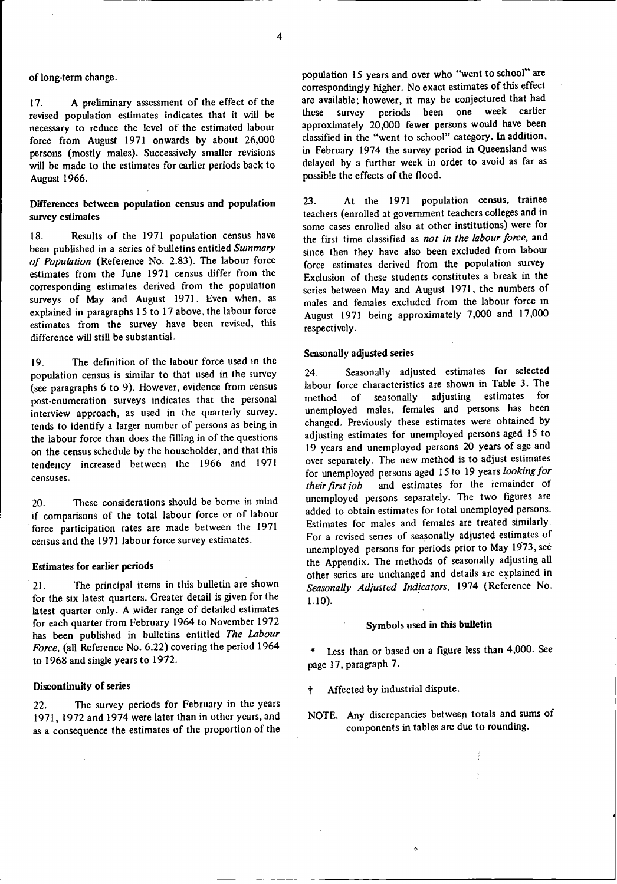## of long-term **change.**

17. A preliminary **assessment** of the effect of the revised population **estimates indicates** that it will be necessary to reduce the level of the estimated labour force from August 1971 onwards by about 26,000 persons (mostly males). Successively **smaller revisions** will be made **to the estimates** for earlier periods back to August 1966.

#### **Differences between population census and population** survey **estimates**

18. Results of the 1971 population census have been published in a series of bulletins entitled *Summary of Population* (Reference No. 2.83). The labour force **estimates** from the June 1971 census differ from the corresponding **estimates** derived from the population surveys of May and August 1971. Even when, as explained in paragraphs 15 to 17 above, the labour force **estimates** from the survey have been revised, this difference **will still be** substantial.

19. The definition of the labour force used in the population **census is** similar to that used in the survey (see paragraphs 6 to 9). However, evidence from census post-enumeration surveys indicates that the personal interview approach, as used in the quarterly survey. tends to identify a larger number of persons as being in the labour force than does the filling in of the questions on the census schedule by the householder, and that this tendency increased between the 1966 and 1971 censuses.

20. These considerations should be borne in mind if comparisons of the total labour force or of labour force participation **rates are** made between the 1971 census and the 1971 labour force survey estimates.

#### **Estimates for earlier periods**

21. The principal items in this bulletin are shown for the six latest quarters. Greater detail is given for the **latest** quarter only. A wider range of detailed **estimates** for each quarter from February 1964 to November 1972 has been published in bulletins **entitled** *The Labour Force,* (all Reference No. 6.22) covering the period 1964 to 1968 and **single** years to 1972.

#### **Discontinuity of series**

22. The survey periods for February in the years 1971, 1972 and 1974 were later than in other years, and as a consequence the estimates of the proportion of the population 15 years and over who "went to school" are correspondingly higher. No exact estimates of this effect are available; however, it may be conjectured that had these survey periods been one week earlier approximately 20,000 fewer persons would have been classified in the "went to school" category. In addition, in February 1974 the survey period in Queensland was delayed by a further week in order to avoid as far as possible the effects of the flood.

23. At the 1971 population census, trainee teachers (enrolled at government teachers colleges and in some cases enrolled also at other institutions) were for the first time classified as *not in the labour force,* and since then they have also been excluded from labour force estimates derived from the population survey Exclusion of these students constitutes a break in the series between May and August 1971, the numbers of males and females excluded from the labour force m August 1971 being approximately 7,000 and 17,000 respectively.

#### **Seasonally adjusted series**

24. Seasonally adjusted estimates for selected labour force characteristics are shown in Table 3. The method of seasonally adjusting estimates for unemployed males, females and persons has been changed. Previously these estimates were obtained by adjusting estimates for unemployed persons aged 15 to 19 years and unemployed persons 20 years of age and over separately. The new method is to adjust estimates for unemployed persons aged 15 to 19 years *looking for their first job* and estimates for the remainder of unemployed persons separately. The two figures are added to obtain estimates for total unemployed persons. Estimates for males and females are treated similarly. For a revised series of seasonally adjusted estimates of unemployed persons for periods prior to May 1973, see the Appendix. The methods of seasonally adjusting all other series are unchanged and details are explained in *Seasonally Adjusted Indicators,* 1974 (Reference No. 1.10).

#### Symbols used in **this** bulletin

\* Less than or based on a figure less than 4,000. See page 17, paragraph 7.

Affected by industrial dispute.

NOTE. Any discrepancies between totals and sums of components in tables are due to rounding.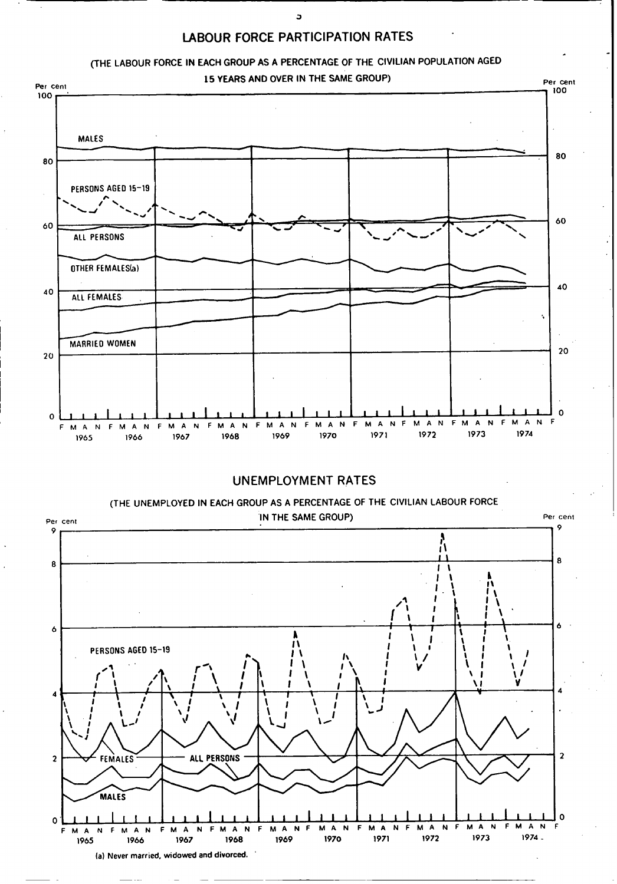





la) **Never married, widowed and divorced.'**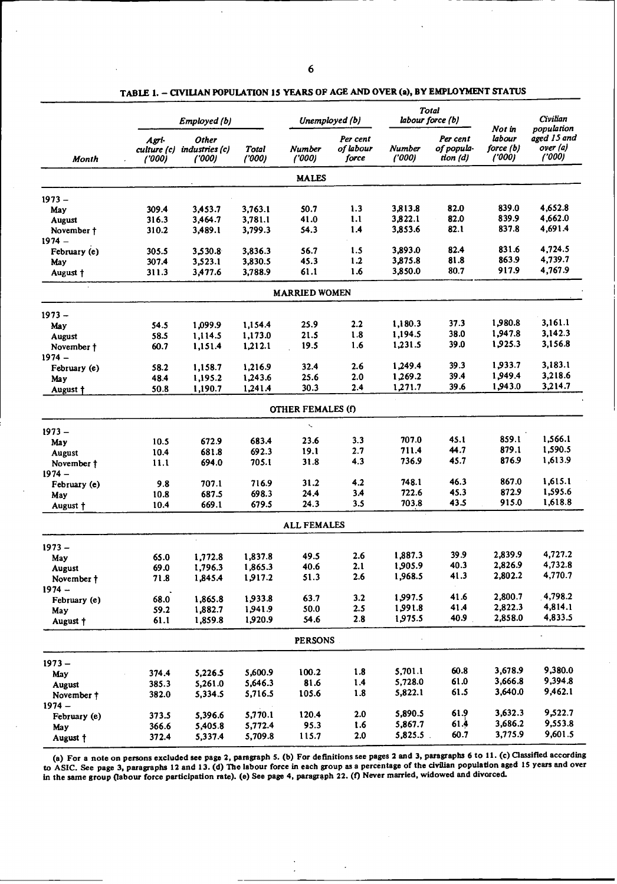|               |                               | Employed (b)                            |                |                          | Unemployed (b)                 |                        | <b>Total</b><br>labour force (b)  |                                        | <b>Civilian</b><br>population     |
|---------------|-------------------------------|-----------------------------------------|----------------|--------------------------|--------------------------------|------------------------|-----------------------------------|----------------------------------------|-----------------------------------|
| Month         | Agri-<br>culture (c)<br>(000) | <b>Other</b><br>industries (c)<br>(000) | Total<br>(000) | Number<br>('000)         | Per cent<br>of labour<br>force | <b>Number</b><br>(000) | Per cent<br>of popula-<br>tion(d) | Not in<br>labour<br>force (b)<br>(000) | aged 15 and<br>over (a)<br>(1000) |
|               |                               |                                         |                | <b>MALES</b>             |                                |                        |                                   |                                        |                                   |
| $1973 -$      |                               |                                         |                |                          |                                |                        |                                   |                                        |                                   |
| May           | 309.4                         | 3,453.7                                 | 3,763.1        | 50.7                     | 1.3                            | 3,813.8                | 82.0                              | 839.0                                  | 4,652.8                           |
| <b>August</b> | 316.3                         | 3,464.7                                 | 3,781.1        | 41.0                     | 1.1                            | 3,822.1                | 82.0                              | 839.9                                  | 4,662.0                           |
| November †    | 310.2                         | 3,489.1                                 | 3,799.3        | 54.3                     | 1.4                            | 3,853.6                | 82.1                              | 837.8                                  | 4,691.4                           |
| $1974 -$      |                               |                                         |                |                          |                                |                        |                                   |                                        |                                   |
| February (e)  | 305.5                         | 3.530.8                                 | 3,836.3        | 56.7                     | 1.5                            | 3,893.0                | 82.4                              | 831.6                                  | 4,724.5                           |
| May           | 307.4                         | 3,523.1                                 | 3,830.5        | 45.3                     | 1.2                            | 3,875.8                | 81.8                              | 863.9                                  | 4,739.7                           |
| August †      | 311.3                         | 3,477.6                                 | 3,788.9        | 61.1                     | 1.6                            | 3,850.0                | 80.7                              | 917.9                                  | 4,767.9                           |
|               |                               |                                         |                | <b>MARRIED WOMEN</b>     |                                |                        |                                   |                                        |                                   |
| $1973 -$      |                               |                                         |                |                          |                                |                        |                                   |                                        |                                   |
| May           | 54.5                          | 1,099.9                                 | 1,154.4        | 25.9                     | 2.2                            | 1,180.3                | 37.3                              | 1,980.8                                | 3.161.1                           |
| August        | 58.5                          | 1,114.5                                 | 1,173.0        | 21.5                     | 1.8                            | 1,194.5                | 38.0                              | 1,947.8                                | 3,142.3                           |
| November †    | 60.7                          | 1,151.4                                 | 1,212.1        | 19.5                     | 1.6                            | 1,231.5                | 39.0                              | 1,925.3                                | 3,156.8                           |
| $1974 -$      | 58.2                          | 1,158.7                                 | 1,216.9        | 32.4                     | 2.6                            | 1,249.4                | 39.3                              | 1,933.7                                | 3,183.1                           |
| February (e)  | 48.4                          | 1,195.2                                 | 1,243.6        | 25.6                     | 2.0                            | 1,269.2                | 39.4                              | 1,949.4                                | 3,218.6                           |
| May           | 50.8                          | 1,190.7                                 | 1,241.4        | 30.3                     | 2.4                            | 1,271.7                | 39.6                              | 1,943.0                                | 3,214.7                           |
| August +      |                               |                                         |                |                          |                                |                        |                                   |                                        |                                   |
|               |                               |                                         |                | <b>OTHER FEMALES (f)</b> |                                |                        |                                   |                                        |                                   |
| $1973 -$      |                               |                                         |                | $\ddot{\phantom{0}}$     |                                |                        |                                   |                                        |                                   |
| May           | 10.5                          | 672.9                                   | 683.4          | 23.6                     | 3.3                            | 707.0                  | 45.1                              | 859.1                                  | 1,566.1                           |
| August        | 10.4                          | 681.8                                   | 692.3          | 19.1                     | 2.7                            | 711.4                  | 44.7                              | 879.1                                  | 1,590.5                           |
| November †    | 11.1                          | 694.0                                   | 705.1          | 31.8                     | 4.3                            | 736.9                  | 45.7                              | 876.9                                  | 1,613.9                           |
| $1974 -$      |                               |                                         |                |                          |                                |                        |                                   |                                        |                                   |
| February (e)  | 9.8                           | 707.1                                   | 716.9          | 31.2                     | 4.2                            | 748.1                  | 46.3                              | 867.0                                  | 1,615.1                           |
| May           | 10.8                          | 687.5                                   | 698.3          | 24.4                     | 3.4                            | 722.6                  | 45.3                              | 872.9                                  | 1,595.6                           |
| August †      | 10.4                          | 669.1                                   | 679.5          | 24.3                     | 3.5                            | 703.8                  | 43.5                              | 915.0                                  | 1,618.8                           |
|               |                               |                                         |                | <b>ALL FEMALES</b>       |                                |                        |                                   |                                        |                                   |
| $1973 -$      |                               |                                         |                |                          |                                |                        |                                   |                                        |                                   |
| May           | 65.0                          | 1,772.8                                 | 1,837.8        | 49.5                     | 2.6                            | 1,887.3                | 39.9                              | 2,839.9                                | 4,727.2                           |
| August        | 69.0                          | 1,796.3                                 | 1,865.3        | 40.6                     | 2.1                            | 1,905.9                | 40.3                              | 2,826.9                                | 4,732.8                           |
| November †    | 71.8                          | 1,845.4                                 | 1,917.2        | 51.3                     | 2.6                            | 1,968.5                | 41.3                              | 2,802.2                                | 4,770.7                           |
| $1974 -$      |                               |                                         |                |                          |                                |                        |                                   |                                        |                                   |
| February (e)  | 68.0                          | 1,865.8                                 | 1,933.8        | 63.7                     | 3.2                            | 1,997.5                | 41.6                              | 2,800.7                                | 4,798.2                           |
| May           | 59.2                          | 1,882.7                                 | 1,941.9        | 50.0                     | 2.5                            | 1,991.8                | 41.4                              | 2,822.3                                | 4,814.1                           |
| August +      | 61.1                          | 1,859.8                                 | 1,920.9        | 54.6                     | 2.8                            | 1,975.5                | 40.9                              | 2,858.0                                | 4,833.5                           |
|               |                               |                                         |                | <b>PERSONS</b>           |                                |                        |                                   |                                        |                                   |
| $1973 -$      |                               |                                         |                |                          |                                |                        |                                   |                                        |                                   |
| May           | 374.4                         | 5,226.5                                 | 5,600.9        | 100.2                    | 1.8                            | 5,701.1                | 60.8                              | 3,678.9                                | 9,380.0                           |
| August        | 385.3                         | 5,261.0                                 | 5,646.3        | 81.6                     | 1.4                            | 5,728.0                | 61.0                              | 3,666.8                                | 9,394.8                           |
| November †    | 382.0                         | 5,334.5                                 | 5,716.5        | 105.6                    | 1.8                            | 5,822.1                | 61.5                              | 3,640.0                                | 9,462.1                           |
| $1974 -$      |                               |                                         |                |                          |                                |                        |                                   |                                        |                                   |
| February (e)  | 373.5                         | 5,396.6                                 | 5,770.1        | 120.4                    | 2.0                            | 5,890.5                | 61.9                              | 3,632.3                                | 9,522.7                           |
| May           | 366.6                         | 5,405.8                                 | 5,772.4        | 95.3                     | 1.6                            | 5,867.7                | 61.4                              | 3,686.2                                | 9,553.8                           |
| August †      | 372.4                         | 5,337.4                                 | 5,709.8        | 115.7                    | $2.0$                          | 5,825.5.               | 60.7                              | 3,775.9                                | 9,601.5                           |
|               |                               |                                         |                |                          |                                |                        |                                   |                                        |                                   |

TABLE 1. - CIVILIAN POPULATION 15 YEARS OF AGE AND OVER (a), BY EMPLOYMENT STATUS

**(a) For a note on persons excluded see page 2, paragraph 5. (b) For definitions see pages 2 and** 3, **paragraphs 6 to 11. (c) Classified according** to ASIC. **See page 3, paragraphs 12 and 13.** (d) The labour **force in each group as a percentage of the civilian population aged** 15 **years and over in the same group (labour force participation rate). (e)** See **page 4, paragraph 22. (f) Never married,** widowed **and divorced.**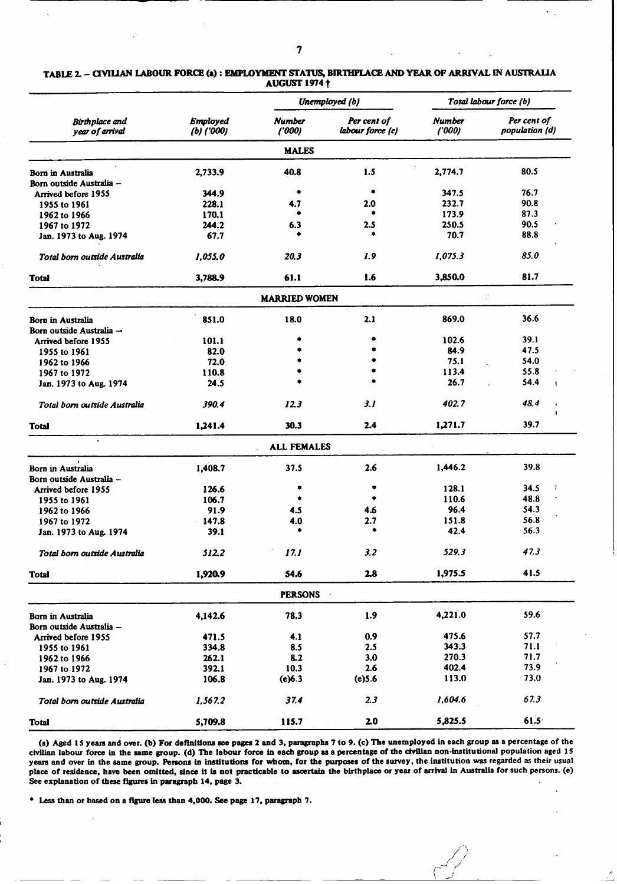|                                          |                                 |                        | Unemployed (b)                  |                        | Total labour force (b)        |  |
|------------------------------------------|---------------------------------|------------------------|---------------------------------|------------------------|-------------------------------|--|
| <b>Birthplace</b> and<br>year of arrival | <b>Employed</b><br>$(b)$ ('000) | <b>Number</b><br>(000) | Per cent of<br>labour force (c) | <b>Number</b><br>(000) | Per cent of<br>population (d) |  |
|                                          |                                 | <b>MALES</b>           |                                 |                        |                               |  |
| <b>Born in Australia</b>                 | 2,733.9                         | 40.8                   | 1.5                             | 2,774.7                | 80.5                          |  |
| Born outside Australia -                 |                                 |                        |                                 |                        |                               |  |
| Arrived before 1955                      | 344.9                           | ۰                      | ۰                               | 347.5                  | 76.7                          |  |
| 1955 to 1961                             | 228.1                           | 4.7                    | 2.0                             | 232.7                  | 90.8                          |  |
| 1962 to 1966                             | 170.1                           |                        |                                 | 173.9                  | 87.3                          |  |
| 1967 to 1972                             | 244.2                           | 6.3                    | 2.5                             | 250.5                  | 90.5                          |  |
| Jan. 1973 to Aug. 1974                   | 67.7                            |                        |                                 | 70.7                   | 88.8                          |  |
| Total born outside Australia             | 1,055.0                         | 20.3                   | 1.9                             | 1,075.3                | 85.0                          |  |
| <b>Total</b>                             | 3,788.9                         | 61.1                   | 1.6                             | 3,850.0                | 81.7                          |  |
|                                          |                                 | <b>MARRIED WOMEN</b>   |                                 |                        | ÷.                            |  |
| <b>Born in Australia</b>                 | 851.0                           | 18.0                   | 2.1                             | 869.0                  | 36.6                          |  |
| Born outside Australia -                 |                                 |                        |                                 |                        |                               |  |
| Arrived before 1955                      | 101.1                           |                        |                                 | 102.6                  | 39.1                          |  |
| 1955 to 1961                             | 82.0                            |                        |                                 | 84.9                   | 47.5                          |  |
| 1962 to 1966                             | 72.0                            |                        |                                 | 75.1                   | 54.0                          |  |
| 1967 to 1972                             | 110.8                           |                        |                                 | 113.4                  | 55.8                          |  |
| Jan. 1973 to Aug. 1974                   | 24.5                            |                        |                                 | 26.7                   | 54.4                          |  |
| Total born outside Australia             | 390.4                           | 12.3                   | 3.1                             | 402.7                  | 48.4<br>$\ddot{\phantom{1}}$  |  |
| Total                                    | 1,241.4                         | 30.3                   | 2.4                             | 1,271.7                | 39.7                          |  |
|                                          |                                 | <b>ALL FEMALES</b>     |                                 |                        |                               |  |
| Born in Australia                        | 1,408.7                         | 37.5                   | 2.6                             | 1,446.2                | 39.8                          |  |
| Born outside Australia --                |                                 |                        |                                 |                        |                               |  |
| Arrived before 1955                      | 126.6                           |                        |                                 | 128.1                  | 34.5                          |  |
| 1955 to 1961                             | 106.7                           |                        | ۰                               | 110.6                  | 48.8                          |  |
| 1962 to 1966                             | 91.9                            | 4.5                    | 4.6                             | 96.4                   | 54.3                          |  |
| 1967 to 1972                             | 147.8                           | 4.0                    | 2.7                             | 151.8                  | 56.8                          |  |
| Jan. 1973 to Aug. 1974                   | 39.1                            |                        | ٠                               | 42.4                   | 56.3                          |  |
| Total born outside Australia             | 512.2                           | 17.1                   | 3.2                             | 529.3                  | 47.3                          |  |
| <b>Total</b>                             | 1,920.9                         | 54.6                   | 2.8                             | 1,975.5                | 41.5                          |  |
|                                          |                                 | <b>PERSONS</b>         |                                 |                        |                               |  |
| <b>Born in Australia</b>                 | 4,142.6                         | 78.3                   | 1.9                             | 4,221.0                | 59.6                          |  |
| Born outside Australia -                 |                                 |                        |                                 |                        |                               |  |
| Arrived before 1955                      | 471.5                           | 4.1                    | 0.9                             | 475.6                  | 57.7                          |  |
| 1955 to 1961                             | 334.8                           | 8.5                    | 2.5                             | 343.3                  | 71.1                          |  |
| 1962 to 1966                             | 262.1                           | 8.2                    | 3.0                             | 270.3                  | 71.7                          |  |
| 1967 to 1972                             | 392.1                           | 10.3                   | 2.6                             | 402.4                  | 73.9                          |  |
| Jan. 1973 to Aug. 1974                   | 106.8                           | (e)6.3                 | (e) 5.6                         | 113.0                  | 73.0                          |  |
| Total born outside Australia             | 1,567.2                         | 37.4                   | 2.3                             | 1,604.6                | 67.3                          |  |
| <b>Total</b>                             | 5,709.8                         | 115.7                  | 2.0                             | 5,825.5                | 61.5                          |  |

TABLE 2. - CIVILAN LABOUR FORCE (a) : EMPLOYMENT STATUS, BIRITPLACE AND YEAR OF ARRIVAL IN AUSTRALIA **AUGUST 1974** t

(a) Aged IS years and over. (b) For definitions see pages **2** and **3,** paragraphs 7 to 9. (c) The unemployed in each group **as** a percentage of the **civilian** labour force in the same group. **(d)** The labour force in each group **as** a percentage of the civilian non-Institutional population aged **15** years and over in the same group. Persons in institutions for whom, for the purposes of the **survey,** the institution was regarded as their usual place of residence, have been omitted, since it is not practicable to ascertain the birthplace or year of arrival in Australia for such persons. (e) See explanation of these figures in paragraph 14, page 3.

/i

Less than or based on a figure less than 4,000. See page 17, paragraph 7.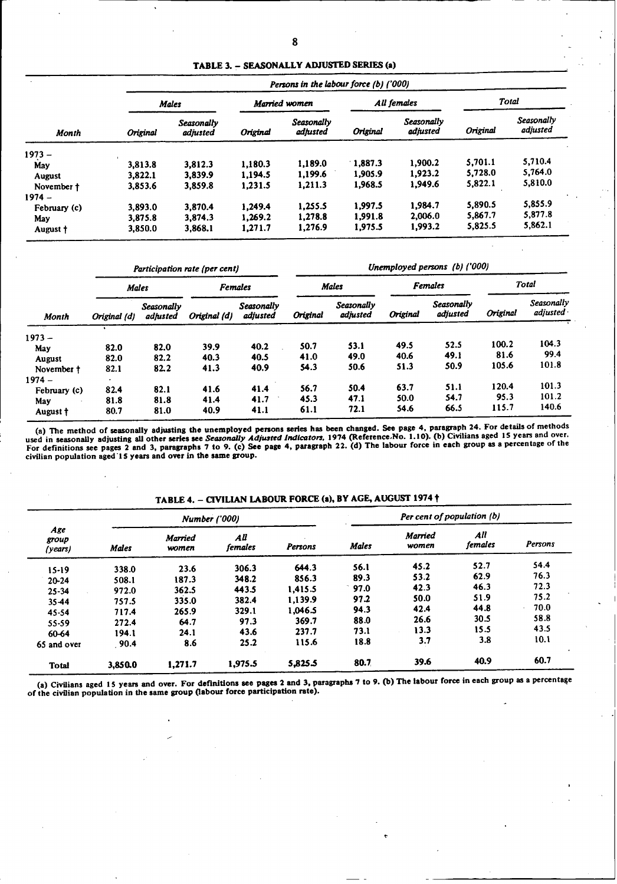**TABLE 3.** - **SEASONALLY ADJUSTED SERIES (a)**

|               | Persons in the labour force (b) ('000) |                               |                 |                        |                 |                        |          |                        |  |  |
|---------------|----------------------------------------|-------------------------------|-----------------|------------------------|-----------------|------------------------|----------|------------------------|--|--|
|               |                                        | <b>Males</b>                  |                 | Married women          |                 | All females            |          | Total                  |  |  |
| <b>Month</b>  | <b>Original</b>                        | <b>Seasonally</b><br>adjusted | <b>Original</b> | Seasonally<br>adjusted | <b>Original</b> | Seasonally<br>adjusted | Original | Seasonally<br>adjusted |  |  |
| $1973 -$      |                                        |                               |                 |                        |                 |                        |          |                        |  |  |
| May           | 3.813.8                                | 3,812.3                       | 1.180.3         | 1,189.0                | 1.887.3         | 1,900.2                | 5.701.1  | 5.710.4                |  |  |
| <b>August</b> | 3.822.1                                | 3.839.9                       | 1.194.5         | 1,199.6                | 1,905.9         | 1.923.2                | 5,728.0  | 5.764.0                |  |  |
| November †    | 3,853.6                                | 3,859.8                       | 1.231.5         | 1,211.3                | 1,968.5         | 1,949.6                | 5,822.1  | 5,810.0                |  |  |
| $1974 -$      |                                        |                               |                 |                        |                 |                        |          |                        |  |  |
| February (c)  | 3,893.0                                | 3,870.4                       | 1.249.4         | 1.255.5                | 1.997.5         | 1.984.7                | 5,890.5  | 5,855.9                |  |  |
| May           | 3,875.8                                | 3,874.3                       | 1.269.2         | 1.278.8                | 1,991.8         | 2,006.0                | 5.867.7  | 5,877.8                |  |  |
| August †      | 3.850.0                                | 3,868.1                       | 1,271.7         | 1,276.9                | 1,975.5         | 1,993.2                | 5,825.5  | 5,862.1                |  |  |

|              |              |                               | Participation rate (per cent) |                               | Unemployed persons (b) ('000)  |                               |          |                        |          |                          |
|--------------|--------------|-------------------------------|-------------------------------|-------------------------------|--------------------------------|-------------------------------|----------|------------------------|----------|--------------------------|
| <b>Month</b> | <b>Males</b> |                               | <b>Females</b>                |                               | <b>Females</b><br><b>Males</b> |                               |          | Total                  |          |                          |
|              | Original (d) | <b>Seasonally</b><br>adjusted | Original (d)                  | <b>Seasonally</b><br>adjusted | <b>Original</b>                | <b>Seasonally</b><br>adjusted | Original | Seasonally<br>adjusted | Original | Seasonally<br>adjusted · |
| $1973 -$     |              |                               |                               |                               |                                |                               |          |                        |          |                          |
| May          | 82.0         | 82.0                          | 39.9                          | 40.2                          | 50.7                           | 53.1                          | 49.5     | 52.5                   | 100.2    | 104.3                    |
| August       | 82.0         | 82.2                          | 40.3                          | 40.5                          | 41.0                           | 49.0                          | 40.6     | 49.1                   | 81.6     | 99.4                     |
| November t   | 82.1         | 82.2                          | 41.3                          | 40.9                          | 54.3                           | 50.6                          | 51.3     | 50.9                   | 105.6    | 101.8                    |
| $1974 -$     |              |                               |                               |                               |                                |                               |          |                        |          |                          |
| February (c) | 82.4         | 82.1                          | 41.6                          | 41.4                          | 56.7                           | 50.4                          | 63.7     | 51.1                   | 120.4    | 101.3                    |
| May          | 81.8         | 81.8                          | 41.4                          | 41.7                          | 45.3                           | 47.1                          | 50.0     | 54.7                   | 95.3     | 101.2                    |
| August †     | 80.7         | 81.0                          | 40.9                          | 41.1                          | 61.1                           | 72.1                          | 54.6     | 66.5                   | 115.7    | 140.6                    |

(a) The method of seasonally adjusting the unemployed persons series has been changed. See page **4,** paragraph **24.** For details of methods used in seasonally adjusting all other series see Seasonally Adjusted Indicators, 1974 (Reference No. 1.10). (b) Civilians aged 15 years and over<br>For definitions see pages 2 and 3, paragraphs 7 to 9. (c) See page 4, paragr

| TABLE 4. – CIVILIAN LABOUR FORCE (a), BY AGE, AUGUST 1974 † |  |  |
|-------------------------------------------------------------|--|--|
|                                                             |  |  |

|                         |              | <b>Number</b> ('000)    |                |                |              | Per cent of population (b) |                |         |  |
|-------------------------|--------------|-------------------------|----------------|----------------|--------------|----------------------------|----------------|---------|--|
| Age<br>group<br>(years) | <b>Males</b> | <b>Married</b><br>women | All<br>females | <b>Persons</b> | <b>Males</b> | <b>Married</b><br>women    | All<br>females | Persons |  |
| $15-19$                 | 338.0        | 23.6                    | 306.3          | 644.3          | 56.1         | 45.2                       | 52.7           | 54.4    |  |
| $20 - 24$               | 508.1        | 187.3                   | 348.2          | 856.3          | 89.3         | 53.2                       | 62.9           | 76.3    |  |
| $25 - 34$               | 972.0        | 362.5                   | 443.5          | 1.415.5        | 97.0         | 42.3                       | 46.3           | 72.3    |  |
| 35-44                   | 757.5        | 335.0                   | 382.4          | 1,139.9        | 97.2         | 50.0                       | 51.9           | 75.2    |  |
| 45-54                   | 717.4        | 265.9                   | 329.1          | 1.046.5        | 94.3         | 42.4                       | 44.8           | 70.0    |  |
| 55-59                   | 272.4        | 64.7                    | 97.3           | 369.7          | 88.0         | 26.6                       | 30.5           | 58.8    |  |
| 60-64                   | 194.1        | 24.1                    | 43.6           | 237.7          | 73.I         | 13.3                       | 15.5           | 43.5    |  |
| 65 and over             | 90.4         | 8.6                     | 25.2           | 115.6          | 18.8         | 3.7                        | 3.8            | 10.1    |  |
| <b>Total</b>            | 3,850.0      | 1.271.7                 | 1,975.5        | 5,825.5        | 80.7         | 39.6                       | 40.9           | 60.7    |  |

(a) Civilians aged 15 years and over. For definitions see pages 2 and 3, paragraphs 7 to 9. (b) The labour force in each group as a percentage<br>of the civilian population in the same group (labour force participation rate).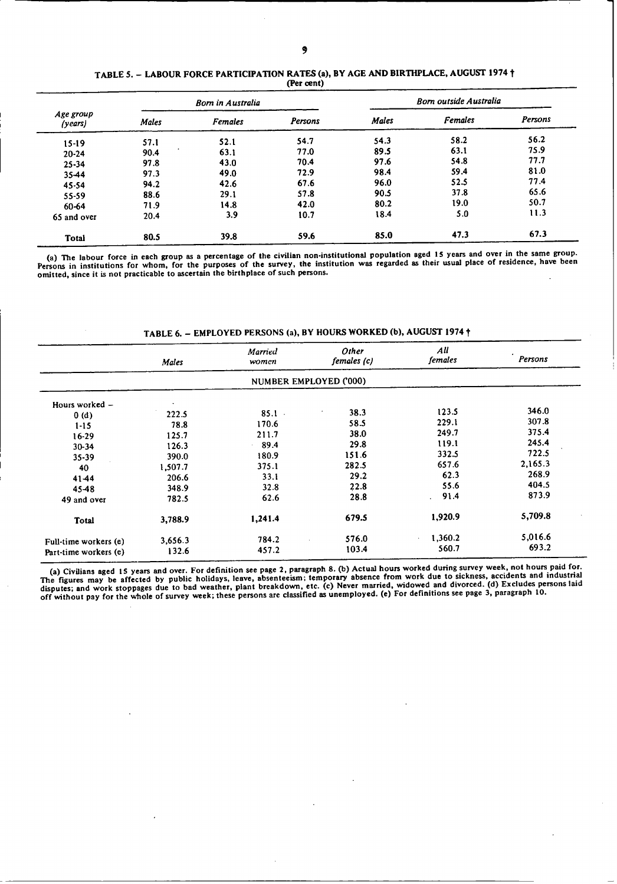#### TABLE 5. - LABOUR FORCE PARTICIPATION RATES (a), BY AGE AND **BIRTHPLACE,** AUGUST 1974 t **(Per cent)**

|                      |       | <b>Born in Australia</b> |         | <b>Born outside Australia</b> |                |         |  |
|----------------------|-------|--------------------------|---------|-------------------------------|----------------|---------|--|
| Age group<br>(years) | Males | <b>Females</b>           | Persons | Males                         | <b>Females</b> | Persons |  |
| $15-19$              | 57.1  | 52.1                     | 54.7    | 54.3                          | 58.2           | 56.2    |  |
| $20 - 24$            | 90.4  | 63.1                     | 77.0    | 89.5                          | 63.1           | 75.9    |  |
| $25 - 34$            | 97.8  | 43.0                     | 70.4    | 97.6                          | 54.8           | 77.7    |  |
| 35-44                | 97.3  | 49.0                     | 72.9    | 98.4                          | 59.4           | 81.0    |  |
| $45 - 54$            | 94.2  | 42.6                     | 67.6    | 96.0                          | 52.5           | 77.4    |  |
| 55-59                | 88.6  | 29.1                     | 57.8    | 90.5                          | 37.8           | 65.6    |  |
| 60-64                | 71.9  | 14.8                     | 42.0    | 80.2                          | 19.0           | 50.7    |  |
| 65 and over          | 20.4  | 3.9                      | 10.7    | 18.4                          | 5.0            | 11.3    |  |
| <b>Total</b>         | 80.5  | 39.8                     | 59.6    | 85.0                          | 47.3           | 67.3    |  |

**(a) The labour force in each group as a percentage of the civilian non-institutional population aged 15 years and over in the same group. Persons in institutions for whom, for the purposes of the survey, the institution was regarded** as **their usual place of residence, have been omitted, since it is not practicable to ascertain the birthplace of such persons.**

|                       | Males   | <b>Married</b><br>women | Other<br>females (c)   | All<br>females | Persons |
|-----------------------|---------|-------------------------|------------------------|----------------|---------|
|                       |         |                         | NUMBER EMPLOYED ('000) |                |         |
| Hours worked -        |         |                         |                        |                |         |
| 0(d)                  | 222.5   | 85.1                    | 38.3<br>٠              | 123.5          | 346.0   |
| $1 - 15$              | 78.8    | 170.6                   | 58.5                   | 229.1          | 307.8   |
| $16 - 29$             | 125.7   | 211.7                   | 38.0                   | 249.7          | 375.4   |
| $30 - 34$             | 126.3   | 89.4                    | 29.8                   | 119.1          | 245.4   |
| 35-39                 | 390.0   | 180.9                   | 151.6                  | 332.5          | 722.5   |
| 40                    | 1,507.7 | 375.1                   | 282.5                  | 657.6          | 2,165.3 |
| 41-44                 | 206.6   | 33.1                    | 29.2                   | 62.3           | 268.9   |
| 45-48                 | 348.9   | 32.8                    | 22.8                   | 55.6           | 404.5   |
| 49 and over           | 782.5   | 62.6                    | 28.8                   | 91.4<br>i.     | 873.9   |
| Total                 | 3,788.9 | 1,241.4                 | 679.5                  | 1,920.9        | 5,709.8 |
| Full-time workers (e) | 3,656.3 | 784.2                   | 576.0                  | 1,360.2        | 5,016.6 |
| Part-time workers (e) | 132.6   | 457.2                   | 103.4                  | 560.7          | 693.2   |

# TABLE 6. - EMPLOYED PERSONS **(a), BY HOURS WORKED** (b), AUGUST 1974 t

(a) Civilians aged 15 years and over. For definition see page 2, paragraph 8. (b) Actual hours worked during survey week, not hours paid for.<br>The figures may be affected by public holidays, leave, absenteeism; temporary ab The ngues has be acceled by process of the members of the beakdown, etc. (c) Never married, widowed and divorced. (d) Excludes persons laid disputes; and work stoppages due to bad weather, plant breakdown, etc. (c) Never m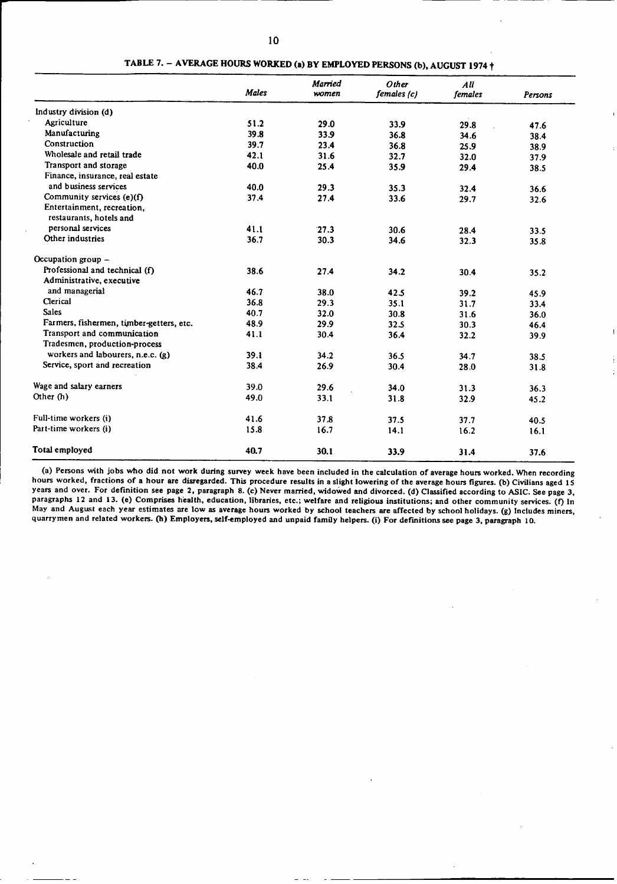|                                          | <b>Males</b> | Married<br>women | Other<br>females (c) | All<br>females | Persons |
|------------------------------------------|--------------|------------------|----------------------|----------------|---------|
| Industry division (d)                    |              |                  |                      |                |         |
| Agriculture                              | 51.2         | 29.0             | 33.9                 | 29.8           | 47.6    |
| Manufacturing                            | 39.8         | 33.9             | 36.8                 | 34.6           | 38.4    |
| Construction                             | 39.7         | 23.4             | 36.8                 | 25.9           | 38.9    |
| Wholesale and retail trade               | 42.1         | 31.6             | 32.7                 | 32.0           | 37.9    |
| Transport and storage                    | 40.0         | 25.4             | 35.9                 | 29.4           | 38.5    |
| Finance, insurance, real estate          |              |                  |                      |                |         |
| and business services                    | 40.0         | 29.3             | 35.3                 | 32.4           | 36.6    |
| Community services $(e)(f)$              | 37.4         | 27.4             | 33.6                 | 29.7           | 32.6    |
| Entertainment, recreation,               |              |                  |                      |                |         |
| restaurants, hotels and                  |              |                  |                      |                |         |
| personal services                        | 41.1         | 27.3             | 30.6                 | 28.4           | 33.5    |
| Other industries                         | 36.7         | 30.3             | 34.6                 | 32.3           | 35.8    |
| Occupation group $-$                     |              |                  |                      |                |         |
| Professional and technical $(f)$         | 38.6         | 27.4             | 34.2                 | 30.4           | 35.2    |
| Administrative, executive                |              |                  |                      |                |         |
| and managerial                           | 46.7         | 38.0             | 42.5                 | 39.2           | 45.9    |
| Clerical                                 | 36.8         | 29.3             | 35.1                 | 31.7           | 33.4    |
| <b>Sales</b>                             | 40.7         | 32.0             | 30.8                 | 31.6           | 36.0    |
| Farmers, fishermen, timber-getters, etc. | 48.9         | 29.9             | 32.5                 | 30.3           | 46.4    |
| Transport and communication              | 41.1         | 30.4             | 36.4                 | 32.2           | 39.9    |
| Tradesmen, production-process            |              |                  |                      |                |         |
| workers and labourers, $n.e.c.$ (g)      | 39.1         | 34.2             | 36.5                 | 34.7           | 38.5    |
| Service, sport and recreation            | 38.4         | 26.9             | 30.4                 | 28.0           | 31.8    |
| Wage and salary earners                  | 39.0         | 29.6             | 34.0                 | 31.3           | 36.3    |
| Other (h)                                | 49.0         | 33.1             | 31.8                 | 32.9           | 45.2    |
| Full-time workers (i)                    | 41.6         | 37.8             | 37.5                 | 37.7           | 40.5    |
| Part-time workers (i)                    | 15.8         | 16.7             | 14.1                 | 16.2           | 16.1    |
| Total employed                           | 40.7         | 30.1             | 33.9                 | 31.4           | 37.6    |

**TABLE 7.** - **AVERAGE HOURS WORKED (a) BY EMPLOYED PERSONS (b), AUGUST 1974** t

(a) Persons with jobs who did not work during survey week have been included in the calculation of average hours worked. When recording hours worked, fractions of a hour are disregarded. This procedure results in a slight years and over. For definition see page 2, paragraph 8. (c) Never married, widowed and divorced. (d) Classified according to ASIC. See page 3, paragraphs 12 and 13. (e) Comprises health, education, libraries, etc.; welfare May and August **each year estimates are low as average hours worked by school teachers** are **affected by school holidays. (g) Includes** miners, **quarrymen and related workers. (h) Employers,** self-employed **and unpaid family** helpers. **(i) For definitions see page** 3, **paragraph 10.**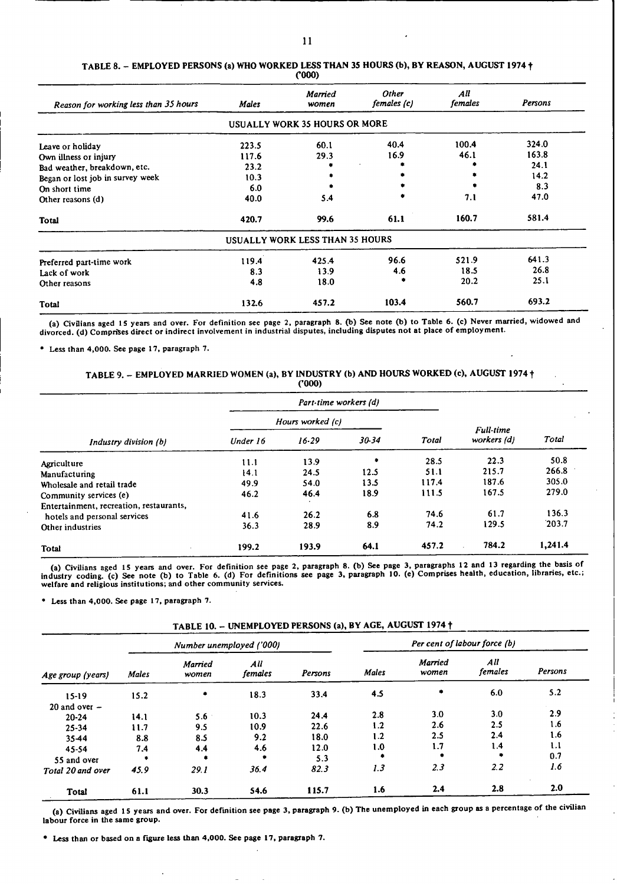| Reason for working less than 35 hours | <b>Males</b> | <b>Married</b><br>women              | Other<br>females (c) | All<br>females | Persons |
|---------------------------------------|--------------|--------------------------------------|----------------------|----------------|---------|
|                                       |              | <b>USUALLY WORK 35 HOURS OR MORE</b> |                      |                |         |
| Leave or holiday                      | 223.5        | 60.1                                 | 40.4                 | 100.4          | 324.0   |
| Own illness or injury                 | 117.6        | 29.3                                 | 16.9                 | 46.1           | 163.8   |
| Bad weather, breakdown, etc.          | 23.2         |                                      |                      |                | 24.1    |
| Began or lost job in survey week      | 10.3         |                                      |                      |                | 14.2    |
| On short time                         | 6.0          |                                      |                      |                | 8.3     |
| Other reasons (d)                     | 40.0         | 5.4                                  |                      | 7.1            | 47.0    |
| <b>Total</b>                          | 420.7        | 99.6                                 | 61.1                 | 160.7          | 581.4   |
|                                       |              | USUALLY WORK LESS THAN 35 HOURS      |                      |                |         |
| Preferred part-time work              | 119.4        | 425.4                                | 96.6                 | 521.9          | 641.3   |
| Lack of work                          | 8.3          | 13.9                                 | 4.6                  | 18.5           | 26.8    |
| Other reasons                         | 4.8          | 18.0                                 |                      | 20.2           | 25.1    |
| <b>Total</b>                          | 132.6        | 457.2                                | 103.4                | 560.7          | 693.2   |

#### TABLE 8. - EMPLOYED PERSONS (a) WHO WORKED **LESS** THAN 35 HOURS (b), BY REASON, AUGUST 1974 **t** (000)

(a) Civilians aged 15 years and over. For definition see page 2, paragraph 8. **(b)** See note (b) to Table 6. (c) Never married, widowed and divorced. (d) Comprises direct or indirect involvement in industrial disputes, including disputes not at place of employment.

**"** Less than 4,000. See page 17, paragraph 7.

TABLE 9. - EMPLOYED MARRIED WOMEN (a), BY INDUSTRY (b) AND HOURS WORKED (c), AUGUST 1974 **t** ('000)

|                                         |          | Part-time workers (d) |      |       |                                 |         |
|-----------------------------------------|----------|-----------------------|------|-------|---------------------------------|---------|
|                                         |          | Hours worked (c)      |      |       |                                 |         |
| Industry division (b)                   | Under 16 | $30-34$<br>$16 - 29$  |      | Total | <b>Full-time</b><br>workers (d) | Total   |
| Agriculture                             | 11.1     | 13.9                  | ٠    | 28.5  | 22.3                            | 50.8    |
| Manufacturing                           | 14.1     | 24.5                  | 12.5 | 51.1  | 215.7                           | 266.8   |
| Wholesale and retail trade              | 49.9     | 54.0                  | 13.5 | 117.4 | 187.6                           | 305.0   |
| Community services (e)                  | 46.2     | 46.4                  | 18.9 | 111.5 | 167.5                           | 279.0   |
| Entertainment, recreation, restaurants, |          |                       |      |       |                                 |         |
| hotels and personal services            | 41.6     | 26.2                  | 6.8  | 74.6  | 61.7                            | 136.3   |
| Other industries                        | 36.3     | 28.9                  | 8.9  | 74.2  | 129.5                           | 203.7   |
| <b>Total</b><br>$\blacksquare$          | 199.2    | 193.9                 | 64.1 | 457.2 | 784.2                           | 1,241.4 |

(a) Civilians aged 15 years and over. For definition see page 2, paragraph 8. (b) See page 3, paragraphs 12 and 13 regarding the basis of industry coding. (c) See note (b) to Table 6. (d) For definitions see page 3, paragraph **10.** (e) Comprises health, education, libraries, etc.; welfare and religious institutions; and other community services.

**"** Less than 4,000. See page 17, paragraph 7.

| TABLE 10. - UNEMPLOYED PERSONS (a), BY AGE, AUGUST 1974 † |  |  |
|-----------------------------------------------------------|--|--|
|                                                           |  |  |

| Age group (years) |              |                  | Number unemployed ('000) |         | Per cent of labour force (b) |                  |                |         |  |
|-------------------|--------------|------------------|--------------------------|---------|------------------------------|------------------|----------------|---------|--|
|                   | <b>Males</b> | Married<br>women | All<br>females           | Persons | Males                        | Married<br>women | All<br>females | Persons |  |
| $15-19$           | 15.2         | ۰                | 18.3                     | 33.4    | 4.5                          | ۰                | 6.0            | 5.2     |  |
| 20 and over $-$   |              |                  |                          |         |                              |                  |                |         |  |
| $20 - 24$         | 14.1         | $5.6^{\circ}$    | 10.3                     | 24.4    | 2.8                          | 3.0              | 3.0            | 2.9     |  |
| $25 - 34$         | 11.7         | 9.5              | 10.9                     | 22.6    | 1.2                          | 2.6              | 2.5            | 1.6     |  |
| $35 - 44$         | 8.8          | 8.5              | 9.2                      | 18.0    | 1.2                          | 2.5              | 2.4            | 1.6     |  |
| 45-54             | 7.4          | 4.4              | 4.6                      | 12.0    | 1.0                          | 1.7              | 1.4            | 1.1     |  |
| 55 and over       | $\bullet$    | $\bullet$        | ٠                        | 5.3     | ۰                            | ۰                | $\bullet$      | 0.7     |  |
| Total 20 and over | 45.9         | 29.1             | 36.4                     | 82.3    | 1.3                          | 2.3              | 2.2            | 1.6     |  |
| Total             | 61.1         | 30.3             | 54.6                     | 115.7   | 1.6                          | 2.4              | 2.8            | 2.0     |  |

**(a)** Civilians aged IS years and over. For definition see page 3, paragraph 9. (b) The unemployed in each group as a percentage of the civilian labour force in the same group.

\* Less than or based on a **figure less** than 4,000. See page 17, paragraph 7.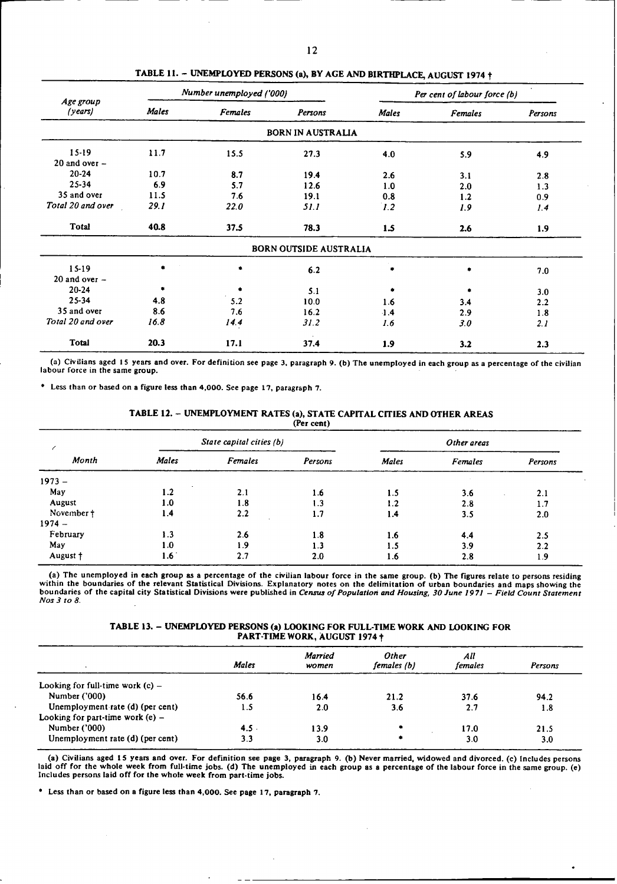|                      |       | Number unemployed ('000) |                               |              | Per cent of labour force (b) |         |  |
|----------------------|-------|--------------------------|-------------------------------|--------------|------------------------------|---------|--|
| Age group<br>(years) | Males | <b>Females</b>           | Persons                       | <b>Males</b> | <b>Females</b>               | Persons |  |
|                      |       |                          | <b>BORN IN AUSTRALIA</b>      |              |                              |         |  |
| $15-19$              | 11.7  | 15.5                     | 27.3                          | 4.0          | 5.9                          | 4.9     |  |
| $20$ and over $-$    |       |                          |                               |              |                              |         |  |
| $20 - 24$            | 10.7  | 8.7                      | 19.4                          | 2.6          | 3.1                          | 2.8     |  |
| 25-34                | 6.9   | 5.7                      | 12.6                          | 1.0          | 2.0                          | 1.3     |  |
| 35 and over          | 11.5  | 7.6                      | 19.1                          | 0.8          | 1.2                          | 0.9     |  |
| Total 20 and over    | 29.1  | 22.0                     | 51.1                          | 1.2          | 1.9                          | 1.4     |  |
| <b>Total</b>         | 40.8  | 37.5                     | 78.3                          | 1.5          | 2.6                          | 1.9     |  |
|                      |       |                          | <b>BORN OUTSIDE AUSTRALIA</b> |              |                              |         |  |
| $15-19$              | ۰     | ۰                        | 6.2                           |              |                              | 7.0     |  |
| 20 and over $-$      |       |                          |                               |              |                              |         |  |
| $20 - 24$            | ٠     | ٠                        | 5.1                           | ۰            |                              | 3.0     |  |
| 25-34                | 4.8   | 5.2                      | 10.0                          | 1.6          | 3.4                          | 2.2     |  |
| 35 and over          | 8.6   | 7.6                      | 16.2                          | $-1.4$       | 2.9                          | 1.8     |  |
| Total 20 and over    | 16.8  | 14.4                     | 31.2                          | 1.6          | 3.0                          | 2.1     |  |
| <b>Total</b>         | 20.3  | 17.1                     | 37.4                          | 1.9          | 3.2                          | 2.3     |  |

TABLE **11.** - UNEMPLOYED PERSONS (a), BY AGE AND BIRTHPLACE, AUGUST 1974 t

(a) Civilians aged **15** years and over. For definition see page 3, paragraph 9. (b) The unemployed in each group as a percentage of the civilian labour force in the same group.

**"** Less than or based on a figure less than 4,000. See page 17, paragraph 7.

| TABLE 12. – UNEMPLOYMENT RATES (a), STATE CAPITAL CITIES AND OTHER AREAS |            |  |  |
|--------------------------------------------------------------------------|------------|--|--|
|                                                                          | (Per cent) |  |  |

| Month      | State capital cities (b) |         |         | Other areas  |         |         |  |
|------------|--------------------------|---------|---------|--------------|---------|---------|--|
|            | Males                    | Females | Persons | <b>Males</b> | Females | Persons |  |
| $1973 -$   |                          |         |         |              |         |         |  |
| May        | l.2                      | 2.1     | 1.6     | 1.5          | 3.6     | 2.1     |  |
| August     | 1.0                      | 1.8     | 1.3     | 1.2          | 2.8     | 1.7     |  |
| November † | 1.4                      | 2.2     | 1.7     | 1.4          | 3.5     | 2.0     |  |
| $1974 -$   |                          |         |         |              |         |         |  |
| February   | 1.3                      | 2.6     | 1.8     | 1.6          | 4.4     | 2.5     |  |
| May        | 1.0                      | 1.9     | 1.3     | 1.5          | 3.9     | 2.2     |  |
| August +   | 1.6 <sup>°</sup>         | 2.7     | 2.0     | 1.6          | 2.8     | 1.9     |  |

(a) The unemployed in each group as a percentage of the civilian labour force in the same group. (b) The figures relate to persons residing within the boundaries of the relevant Statistical Divisions. Explanatory notes on boundaries of the capital city Statistical Divisions were published in *Census of Population and Housing, 30 June 197)* - *Field Count Statement Nos 3 to 8.*

#### **TABLE 13.** - UNEMPLOYED PERSONS (a) LOOKING FOR FULL-TIME WORK **AND** LOOKING FOR PART-TIME WORK, AUGUST 1974 +

|                                    | <b>Males</b> | Married<br>women | <b>Other</b><br>females (b) | All<br>females | Persons |
|------------------------------------|--------------|------------------|-----------------------------|----------------|---------|
| Looking for full-time work $(c)$ – |              |                  |                             |                |         |
| Number ('000)                      | 56.6         | 16.4             | 21.2                        | 37.6           | 94.2    |
| Unemployment rate (d) (per cent)   | 1.5          | 2.0              | 3.6                         | 2.7            | 1.8     |
| Looking for part-time work $(e)$ – |              |                  |                             |                |         |
| Number ('000)                      | 4.5          | 13.9             |                             | 17.0           | 21.5    |
| Unemployment rate (d) (per cent)   | 3.3          | 3.0              |                             | 3.0            | 3.0     |

(a) Civilians aged 15 years and over. For definition see page 3, paragraph 9. (b) Never married, widowed and divorced. (c) includes persons laid off for the whole week from full-time jobs. (d) The unemployed in each group

 $\bullet$ 

0 Less than or based on a figure less than 4,000. See page 17, paragraph 7.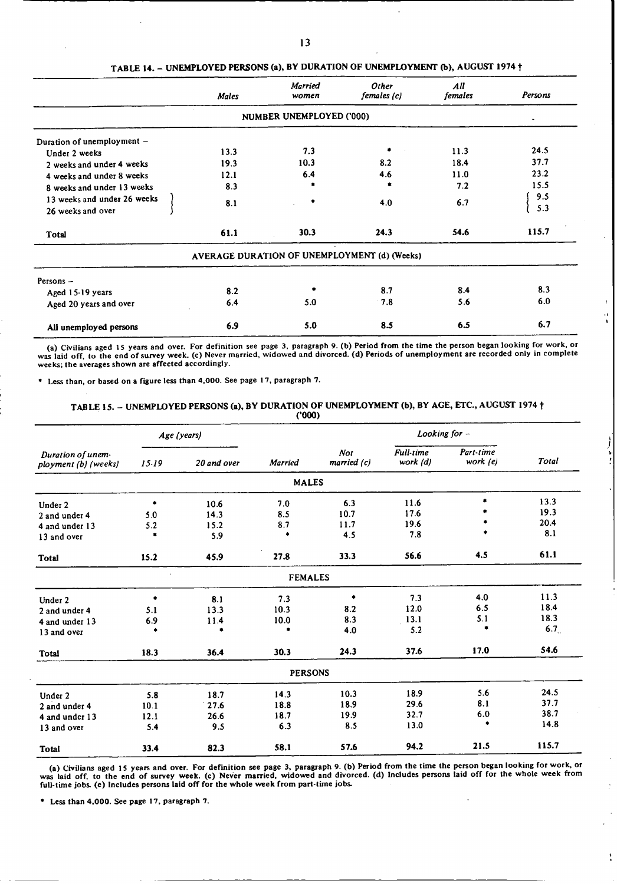|                             | <b>Males</b> | Married<br>women         | Other<br>females (c)                         | All<br><i>females</i> | Persons |
|-----------------------------|--------------|--------------------------|----------------------------------------------|-----------------------|---------|
|                             |              | NUMBER UNEMPLOYED ('000) |                                              |                       | ٠       |
| Duration of unemployment -  |              |                          |                                              |                       |         |
| Under 2 weeks               | 13.3         | 7.3                      | ۰                                            | 11.3                  | 24.5    |
| 2 weeks and under 4 weeks   | 19.3         | 10.3                     | 8.2                                          | 18.4                  | 37.7    |
| 4 weeks and under 8 weeks   | 12.1         | 6.4                      | 4.6                                          | 11.0                  | 23.2    |
| 8 weeks and under 13 weeks  | 8.3          |                          |                                              | 7.2                   | 15.5    |
| 13 weeks and under 26 weeks | 8.1          |                          | 4.0                                          | 6.7                   | 9.5     |
| 26 weeks and over           |              |                          |                                              |                       | 5.3     |
| <b>Total</b>                | 61.1         | 30.3                     | 24.3                                         | 54.6                  | 115.7   |
|                             |              |                          | AVERAGE DURATION OF UNEMPLOYMENT (d) (Weeks) |                       |         |
| Persons -                   |              |                          |                                              |                       |         |
| Aged 15-19 years            | 8.2          |                          | 8.7                                          | 8.4                   | 8.3     |
| Aged 20 years and over      | 6.4          | 5.0                      | 7.8                                          | 5.6                   | 6.0     |
| All unemployed persons      | 6.9          | 5.0                      | 8.5                                          | 6.5                   | 6.7     |

#### TABLE 14. - UNEMPLOYED PERSONS (a), BY DURATION OF UNEMPLOYMENT (b), AUGUST 1974 **t**

a) Civilians aged 15 years and over. For definition see page 3, paragraph 9. (b) Period from the time the person began looking for work, or was laid off, to the end of survey week. (c) Never married, widowed and divorced. weeks; the averages shown are affected accordingly.

 $\ddot{\phantom{0}}$ 

**"** Less than, or based on **a** figure less than 4,000. See page 17, paragraph 7.

# TABLE 15. - UNEMPLOYED PERSONS (a), BY DURATION OF UNEMPLOYMENT (b), BY AGE, ETC., AUGUST 1974 t ('000)

|                                           |           | Age (years) |                |      | Looking for $-$          |                              |                       |       |
|-------------------------------------------|-----------|-------------|----------------|------|--------------------------|------------------------------|-----------------------|-------|
| Duration of unem-<br>ployment (b) (weeks) | $15 - 19$ | 20 and over | <b>Married</b> |      | <b>Not</b><br>married(c) | <b>Full-time</b><br>work (d) | Part-time<br>work (e) | Total |
|                                           |           |             | <b>MALES</b>   |      |                          |                              |                       |       |
| Under 2                                   | ۰         | 10.6        | 7.0            | 6.3  | 11.6                     | ۰                            | 13.3                  |       |
| 2 and under 4                             | 5.0       | 14.3        | 8.5            | 10.7 | 17.6                     |                              | 19.3                  |       |
| 4 and under 13                            | 5.2       | 15.2        | 8.7            | 11.7 | 19.6                     |                              | 20.4                  |       |
| 13 and over                               | ۰         | 5.9         | ۰              | 4.5  | 7.8                      | ٠                            | 8.1                   |       |
| <b>Total</b>                              | 15.2      | 45.9        | 27.8           | 33.3 | 56.6                     | 4.5                          | 61.1                  |       |
|                                           |           |             | <b>FEMALES</b> |      |                          |                              |                       |       |
| Under 2                                   | ٠         | 8.1         | 7.3            | ۰    | 7.3                      | 4.0                          | 11.3                  |       |
| 2 and under 4                             | 5.1       | 13.3        | 10.3           | 8.2  | 12.0                     | 6.5                          | 18.4                  |       |
| 4 and under 13                            | 6.9       | 11.4        | 10.0           | 8.3  | 13.1                     | 5.1                          | 18.3                  |       |
| 13 and over                               | ۰         | ٠           | ٠              | 4.0  | 5.2                      | ٠                            | 6.7                   |       |
| <b>Total</b>                              | 18.3      | 36.4        | 30.3           | 24.3 | 37.6                     | 17.0                         | 54.6                  |       |
|                                           |           |             | <b>PERSONS</b> |      |                          |                              |                       |       |
| Under 2                                   | 5.8       | 18.7        | 14.3           | 10.3 | 18.9                     | 5.6                          | 24.5                  |       |
| 2 and under 4                             | 10.1      | 27.6        | 18.8           | 18.9 | 29.6                     | 8.1                          | 37.7                  |       |
| 4 and under 13                            | 12.1      | 26.6        | 18.7           | 19.9 | 32.7                     | 6.0                          | 38.7                  |       |
| 13 and over                               | 5.4       | 9.5         | 6.3            | 8.5  | 13.0                     | ٠                            | 14.8                  |       |
| <b>Total</b>                              | 33.4      | 82.3        | 58.1           | 57.6 | 94.2                     | 21.5                         | 115.7                 |       |

(a) Civilians aged 15 years and over. For definition see page 3, paragraph 9. (b) Period from the time the person began looking for work, or<br>was laid off, to the end of survey week. (c) Never married, widowed and divorced.

**a** Less than 4,000. See page 17, paragraph 7.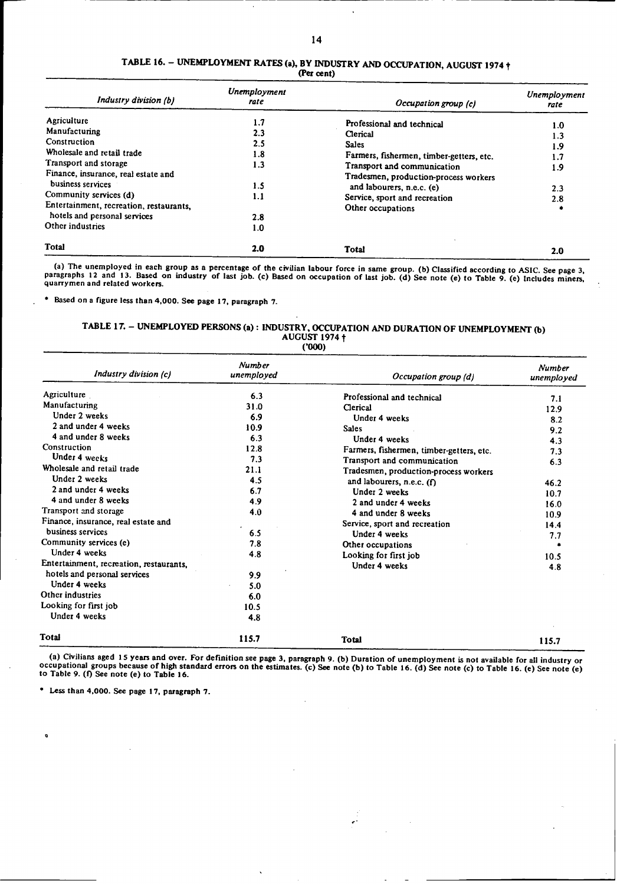| Industry division (b)                   | Unemployment<br>rate | Occupation group (c)                     | <b>Unemployment</b><br>rate |
|-----------------------------------------|----------------------|------------------------------------------|-----------------------------|
| Agriculture                             | 1.7                  | Professional and technical               | 1.0                         |
| Manufacturing                           | 2.3                  | Clerical                                 | 1.3                         |
| Construction                            | $2.5\,$              | <b>Sales</b>                             | 1.9                         |
| Wholesale and retail trade              | 1.8                  | Farmers, fishermen, timber-getters, etc. |                             |
| Transport and storage                   | 1.3                  | Transport and communication              |                             |
| Finance, insurance, real estate and     |                      | Tradesmen, production-process workers    | 1.9                         |
| business services                       | 1.5                  | and labourers, n.e.c. (e)                | 2.3                         |
| Community services (d)                  | 1.1                  | Service, sport and recreation            |                             |
| Entertainment, recreation, restaurants, |                      | Other occupations                        | 2.8                         |
| hotels and personal services            | 2.8                  |                                          |                             |
| Other industries                        | 1.0                  |                                          |                             |
| <b>Total</b>                            | 2.0                  | <b>Total</b>                             | 2.0                         |

#### **TABLE 16.** - UNEMPLOYMENT RATES **(a),** BY INDUSTRY AND OCCUPATION, AUGUST 1974 t **(Per cent)**

(a) The unemployed in each group as a percentage of the civilian labour force in same group. (b) Classified according to ASIC. See page 3, paragraphs 12 and 13. Based on industry of last job. (c) Based on occupation of las

**"** Based on a figure less than 4,000. See page 17, paragraph 7.

# TABLE 17. - UNEMPLOYED PERSONS (a) : INDUSTRY, OCCUPATION AND DURATION OF UNEMPLOYMENT (b)<br>AUGUST 1974 <del>t</del>

| (000) |  |
|-------|--|
|-------|--|

| Industry division (c)                   | <b>Number</b><br>unemployed | Occupation group (d)                     | <b>Number</b><br>unemployed |
|-----------------------------------------|-----------------------------|------------------------------------------|-----------------------------|
| Agriculture                             | 6.3                         | Professional and technical               | 7.1                         |
| Manufacturing                           | 31.0                        | Clerical                                 | 12.9                        |
| Under 2 weeks                           | 6.9                         | Under 4 weeks                            | 8.2                         |
| 2 and under 4 weeks                     | 10.9                        | <b>Sales</b>                             | 9.2                         |
| 4 and under 8 weeks                     | 6.3                         | Under 4 weeks                            | 4.3                         |
| Construction                            | 12.8                        | Farmers, fishermen, timber-getters, etc. | 7.3                         |
| Under 4 weeks                           | 7.3                         | Transport and communication              | 6.3                         |
| Wholesale and retail trade              | 21.1                        | Tradesmen, production-process workers    |                             |
| Under 2 weeks                           | 4.5                         | and labourers, n.e.c. $(f)$              | 46.2                        |
| 2 and under 4 weeks                     | 6.7                         | Under 2 weeks                            | 10.7                        |
| 4 and under 8 weeks                     | 4.9                         | 2 and under 4 weeks                      | 16.0                        |
| Transport and storage                   | 4.0                         | 4 and under 8 weeks                      | 10.9                        |
| Finance, insurance, real estate and     |                             | Service, sport and recreation            | 14.4                        |
| business services                       | 6.5                         | Under 4 weeks                            | 7.7                         |
| Community services (e)                  | 7.8                         | Other occupations                        |                             |
| Under 4 weeks                           | 4.8                         | Looking for first job                    | 10.5                        |
| Entertainment, recreation, restaurants, |                             | Under 4 weeks                            | 4.8                         |
| hotels and personal services            | 9.9                         |                                          |                             |
| Under 4 weeks                           | 5.0                         |                                          |                             |
| Other industries                        | 6.0                         |                                          |                             |
| Looking for first job                   | 10.5                        |                                          |                             |
| Under 4 weeks                           | 4.8                         |                                          |                             |
| Total                                   | 115.7                       | <b>Total</b>                             | 115.7                       |

(a) Civilians aged 15 years and over. For definition see page 3, paragraph 9. (b) Duration of unemployment is not available for all industry or occupational groups because of high standard errors on the estimates. (c) See

**"** Less than 4,000. See page 17, paragraph 7.

 $\mathbf{a}$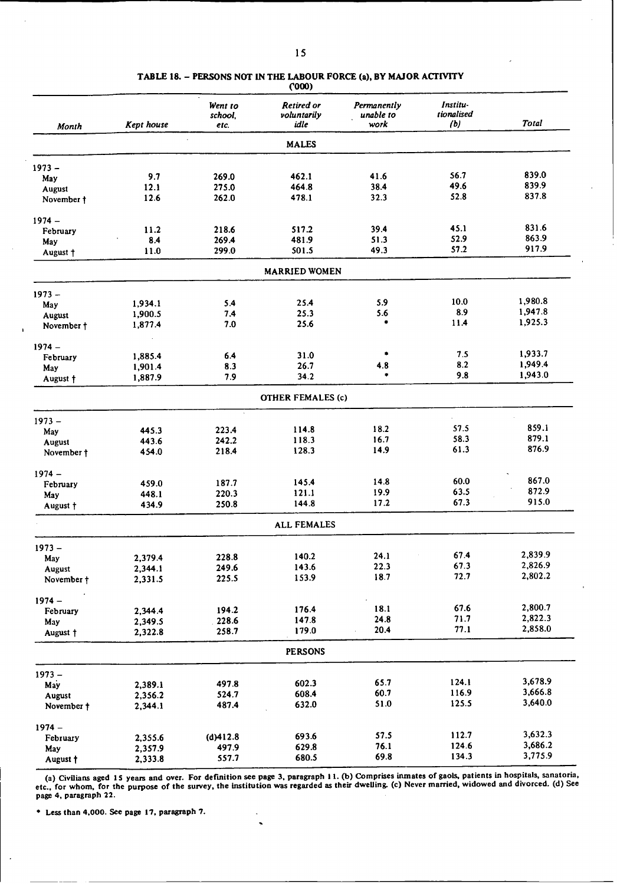|            |            | Went to<br>school, | <b>Retired or</b><br>voluntarily | Permanently<br>unable to | Institu-<br>tionalised |              |
|------------|------------|--------------------|----------------------------------|--------------------------|------------------------|--------------|
| Month      | Kept house | etc.               | idle                             | work                     | (b)                    | <b>Total</b> |
|            |            |                    | <b>MALES</b>                     |                          |                        |              |
| $1973 -$   |            |                    |                                  |                          |                        |              |
| May        | 9.7        | 269.0              | 462.1                            | 41.6                     | 56.7                   | 839.0        |
| August     | 12.1       | 275.0              | 464.8                            | 38.4                     | 49.6                   | 839.9        |
| November † | 12.6       | 262.0              | 478.1                            | 32.3                     | 52.8                   | 837.8        |
| $1974 -$   |            |                    |                                  |                          |                        |              |
| February   | 11.2       | 218.6              | 517.2                            | 39.4                     | 45.1                   | 831.6        |
| May        | 8.4        | 269.4              | 481.9                            | 51.3                     | 52.9                   | 863.9        |
| August +   | 11.0       | 299.0              | 501.5                            | 49.3                     | 57.2                   | 917.9        |
|            |            |                    | <b>MARRIED WOMEN</b>             |                          |                        |              |
| $1973 -$   |            |                    |                                  |                          |                        |              |
| May        | 1,934.1    | 5.4                | 25.4                             | 5.9                      | 10.0                   | 1,980.8      |
| August     | 1,900.5    | 7.4                | 25.3                             | 5.6                      | 8.9                    | 1,947.8      |
| November † | 1,877.4    | 7.0                | 25.6                             | ۰                        | 11.4                   | 1,925.3      |
| $1974 -$   |            |                    |                                  |                          |                        |              |
| February   | 1,885.4    | 6.4                | 31.0                             | ٠                        | 7.5                    | 1,933.7      |
| May        | 1,901.4    | 8.3                | 26.7                             | 4.8                      | 8.2                    | 1,949.4      |
| August †   | 1,887.9    | 7.9                | 34.2                             |                          | 9.8                    | 1,943.0      |
|            |            |                    | <b>OTHER FEMALES (c)</b>         |                          |                        |              |
| $1973 -$   |            |                    |                                  |                          |                        |              |
| May        | 445.3      | 223.4              | 114.8                            | 18.2                     | 57.5                   | 859.1        |
| August     | 443.6      | 242.2              | 118.3                            | 16.7                     | 58.3                   | 879.1        |
| November † | 454.0      | 218.4              | 128.3                            | 14.9                     | 61.3                   | 876.9        |
| $1974 -$   |            |                    |                                  |                          |                        |              |
| February   | 459.0      | 187.7              | 145.4                            | 14.8                     | 60.0                   | 867.0        |
| May        | 448.1      | 220.3              | 121.1                            | 19.9                     | 63.5                   | 872.9        |
| August †   | 434.9      | 250.8              | 144.8                            | 17.2                     | 67.3                   | 915.0        |
|            |            |                    | <b>ALL FEMALES</b>               |                          |                        |              |
| $1973 -$   |            |                    |                                  |                          |                        |              |
| May        | 2,379.4    | 228.8              | 140.2                            | 24.1                     | 67.4                   | 2,839.9      |
| August     | 2,344.1    | 249.6              | 143.6                            | 22.3                     | 67.3                   | 2,826.9      |
| November + | 2,331.5    | 225.5              | 153.9                            | 18.7                     | 72.7                   | 2,802.2      |
| $1974 -$   |            |                    |                                  |                          |                        |              |
| February   | 2,344.4    | 194.2              | 176.4                            | 18.1                     | 67.6                   | 2,800.7      |
| May        | 2,349.5    | 228.6              | 147.8                            | 24.8                     | 71.7                   | 2,822.3      |
| August †   | 2,322.8    | 258.7              | 179.0                            | 20.4                     | 77.1                   | 2,858.0      |
|            |            |                    | <b>PERSONS</b>                   |                          |                        |              |
| $1973 -$   |            |                    |                                  |                          |                        |              |
| May        | 2,389.1    | 497.8              | 602.3                            | 65.7                     | 124.1                  | 3,678.9      |
| August     | 2,356.2    | 524.7              | 608.4                            | 60.7                     | 116.9                  | 3,666.8      |
| November † | 2,344.1    | 487.4              | 632.0                            | 51.0                     | 125.5                  | 3,640.0      |
| $1974 -$   |            |                    |                                  |                          |                        |              |
| February   | 2,355.6    | (d)412.8           | 693.6                            | 57.5                     | 112.7                  | 3,632.3      |
| May        | 2,357.9    | 497.9              | 629.8                            | 76.1                     | 124.6                  | 3,686.2      |
| August †   | 2,333.8    | 557.7              | 680.5                            | 69.8                     | 134.3                  | 3,775.9      |
|            |            |                    |                                  |                          |                        |              |

#### **TABLE 18.** - **PERSONS NOT IN THE LABOUR FORCE (a), BY MAJOR ACTIVITY ('ooo)**

**(a) Civilians aged IS years and over. For definition see page 3, paragraph 11. (b) Comprises inmates of gaols, patients in hospitals, sanatoria, etc., for whom, for the purpose of the survey, the institution was regarded as their dwelling. (c) Never married, widowed and divorced.** (d) See **page 4, paragraph 22.**

 $\ddot{\phantom{0}}$ 

**•** Less **than 4,000.** See **page 17, paragraph 7.**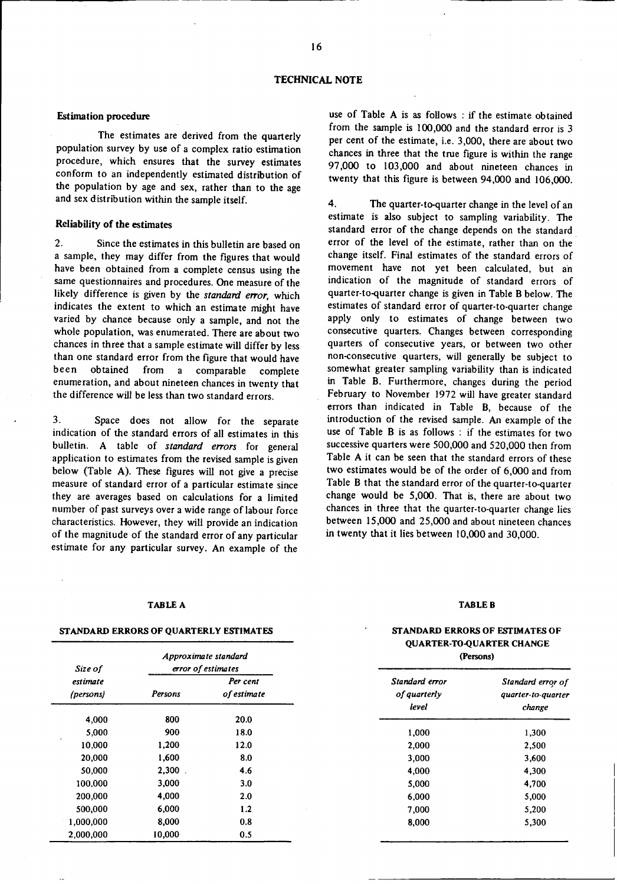#### **Estimation procedure**

The estimates are derived from the quarterly population survey by use of a complex ratio estimation procedure, which ensures that the survey estimates conform to an independently estimated distribution of the population by age and sex, rather than to the age and sex distribution within the sample itself.

#### Reliability of **the estimates**

2. Since the estimates in this bulletin are based on a sample, they may differ from the figures that would have been obtained from a complete census using the same questionnaires and procedures. One measure of the likely difference is given by the *standard error,* which indicates the extent to which an estimate might have varied by chance because only a sample, and not the whole population, was enumerated. There are about two chances in three that a sample estimate will differ by less than one standard error from the figure that would have<br>been obtained from a comparable complete from a comparable complete enumeration, and about nineteen chances in twenty that the difference will be less than two standard errors.

3. Space does not allow for the separate indication of the standard errors of all estimates in this bulletin. A table of *standard errors* for general application to estimates from the revised sample is given below (Table A). These figures will not give a precise measure of standard error of a particular estimate since they are averages based on calculations for a limited number of past surveys over a wide range of labour force characteristics. However, they will provide an indication of the magnitude of the standard error of any particular estimate for any particular survey. An example of the

#### **TABLE A TABLE B**

#### **STANDARD ERRORS OF QUARTERLY ESTIMATES**

use of Table A is as follows : if the estimate obtained from the sample is 100,000 and the standard error is 3 per cent of the estimate, i.e. 3,000, there are about two chances in three that the true figure is within the range 97,000 to 103,000 and about nineteen chances in twenty that this figure is between 94,000 and 106,000.

4. The quarter-to-quarter change in the level of an estimate is also subject to sampling variability. The standard error of the change depends on the standard error of the level of the estimate, rather than on the change itself. Final estimates of the standard errors of movement have not yet been calculated, but an indication of the magnitude of standard errors of quarter-to-quarter change is given in Table B below. The estimates of standard error of quarter-to-quarter change apply only to estimates of change between two consecutive quarters. Changes between corresponding quarters of consecutive years, or between two other non-consecutive quarters, will generally be subject to somewhat greater sampling variability than is indicated in Table B. Furthermore, changes during the period February to November 1972 will have greater standard errors than indicated in Table B, because of the introduction of the revised sample. An example of the use of Table B is as follows : if the estimates for two successive quarters were 500,000 and 520,000 then from Table A it can be seen that the standard errors of these two estimates would be of the order of 6,000 and from Table B that the standard error of the quarter-to-quarter change would be 5,000. That is, there are about two chances in three that the quarter-to-quarter change lies between 15,000 and 25,000 and about nineteen chances in twenty that it lies between 10,000 and 30,000.

## **STANDARD ERRORS OF ESTIMATES OF QUARTER-TO-QUARTER CHANGE**

| Approximate standard |         |                    | (Persons)      |                    |  |  |
|----------------------|---------|--------------------|----------------|--------------------|--|--|
| Size of              |         | error of estimates |                |                    |  |  |
| estimate             |         | Per cent           | Standard error | Standard error of  |  |  |
| (persons)            | Persons | of estimate        | of quarterly   | quarter-to-quarter |  |  |
|                      |         |                    | level          | change             |  |  |
| 4,000                | 800     | 20.0               |                |                    |  |  |
| 5,000                | 900     | 18.0               | 1,000          | 1,300              |  |  |
| 10,000               | 1,200   | 12.0               | 2,000          | 2,500              |  |  |
| 20,000               | 1,600   | 8.0                | 3,000          | 3,600              |  |  |
| 50,000               | 2,300   | 4.6                | 4,000          | 4,300              |  |  |
| 100.000              | 3,000   | 3.0                | 5,000          | 4,700              |  |  |
| 200,000              | 4,000   | 2.0                | 6,000          | 5,000              |  |  |
| 500,000              | 6,000   | 1.2                | 7,000          | 5,200              |  |  |
| 1,000,000            | 8,000   | 0.8                | 8,000          | 5,300              |  |  |
| 2,000,000            | 10,000  | 0.5                |                |                    |  |  |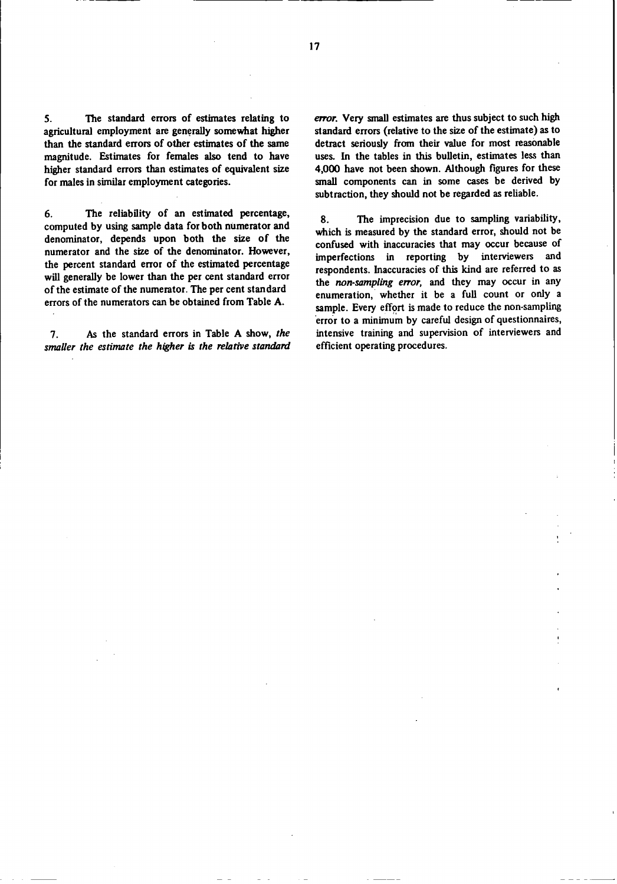**5. The standard errors of estimates relating to agricultural employment are generally somewhat higher than the standard errors of other estimates of the same magnitude. Estimates for females also tend to have higher standard** errors **than estimates of equivalent size for males in similar employment categories.**

**6. The reliability of** an **estimated percentage, computed by using sample data for both numerator and denominator, depends upon both the** size **of** the **numerator and the size of the denominator. However,** the **percent standard error of the estimated percentage will generally be lower** than the **per cent standard error of the estimate of** the **numerator. The per cent standard errors of the numerators can be obtained from Table A.**

**7. As the standard errors in Table A show,** *the smaller the estimate the higher is the relative standard* *error.* Very **small estimates are thus subject to such high standard** errors **(relative to the** size **of the estimate) as to detract seriously from their value for most reasonable uses. In** the **tables** in **this** bulletin, **estimates less** than **4,000 have not been shown. Although figures for** these small **components can in some cases be derived by subtraction, they should not be regarded as reliable.**

**8. The imprecision due to sampling variability, which** is measured **by** the **standard error,** should **not be confused with inaccuracies that may occur because of imperfections** in **reporting by** interviewers **and respondents. Inaccuracies of this kind are** referred **to** as **the** *non-sampling error,* **and** they **may occur** in **any enumeration, whether it be** a **full count or only** a **sample. Every effort** is **made to reduce the non-sampling error to a minimum by careful design of questionnaires, intensive training and supervision of interviewers and efficient operating procedures.**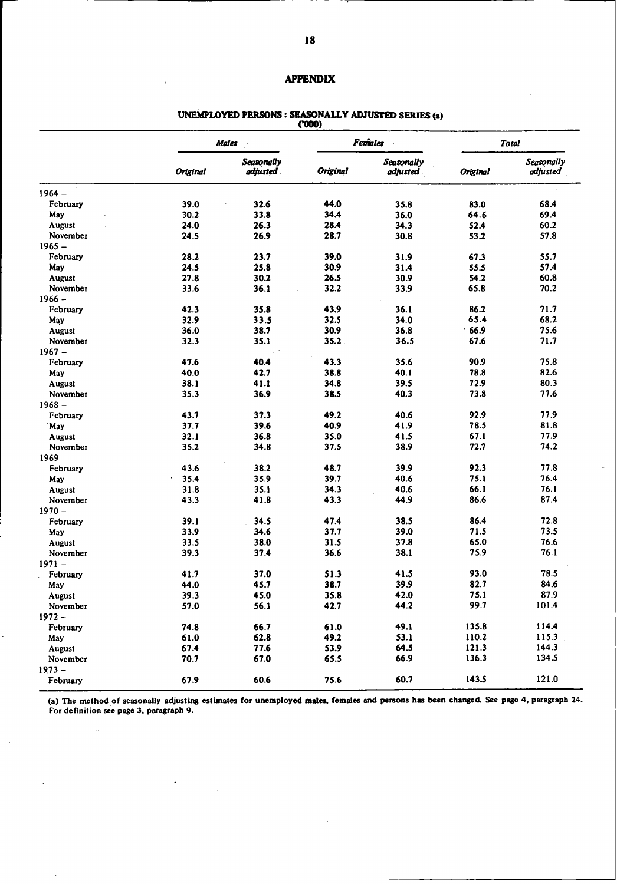## **APPENDIX**

# UNEMPLOYED PERSONS : SEASONALLY ADJUSTED SERIES (a)<br>
(000)

|               |              | <b>Males</b>             |          | Females                |          | <b>Total</b>           |  |
|---------------|--------------|--------------------------|----------|------------------------|----------|------------------------|--|
|               | Original     | Seasonally<br>adjusted . | Original | Seasonally<br>adjusted | Original | Seasonally<br>adjusted |  |
| $1964 -$      |              |                          |          |                        |          |                        |  |
| February      | 39.0         | 32.6                     | 44.0     | 35.8                   | 83.0     | 68.4                   |  |
| May           | 30.2         | 33.8                     | 34.4     | 36.0                   | 64.6     | 69.4                   |  |
| <b>August</b> | 24.0         | 26.3                     | 28.4     | 34.3                   | 52.4     | 60.2                   |  |
| November      | 24.5         | 26.9                     | 28.7     | 30.8                   | 53.2     | 57.8                   |  |
| $1965 -$      |              |                          |          |                        |          |                        |  |
| February      | 28.2         | 23.7                     | 39.0     | 31.9                   | 67.3     | 55.7                   |  |
| May           | 24.5         | 25.8                     | 30.9     | 31.4                   | 55.5     | 57.4                   |  |
| <b>August</b> | 27.8         | 30.2                     | 26.5     | 30.9                   | 54.2     | 60.8                   |  |
| November      | 33.6         | 36.1                     | 32.2     | 33.9                   | 65.8     | 70.2                   |  |
| $1966 -$      |              |                          |          |                        |          |                        |  |
| February      | 42.3         | 35.8                     | 43.9     | 36.1                   | 86.2     | 71.7                   |  |
| May           | 32.9         | 33.5                     | 32.5     | 34.0                   | 65.4     | 68.2                   |  |
| <b>August</b> | 36.0         | 38.7                     | 30.9     | 36.8                   | 66.9     | 75.6                   |  |
| November      | 32.3         | 35.1                     | 35.2     | 36.5                   | 67.6     | 71.7                   |  |
| $1967 -$      |              |                          |          |                        |          |                        |  |
| February      | 47.6         | 40.4                     | 43.3     | 35.6                   | 90.9     | 75.8                   |  |
| May           | 40.0         | 42.7                     | 38.8     | 40.1                   | 78.8     | 82.6                   |  |
| <b>August</b> | 38.1         | 41.1                     | 34.8     | 39.5                   | 72.9     | 80.3                   |  |
| November      | 35.3         | 36.9                     | 38.5     | 40.3                   | 73.8     | 77.6                   |  |
| $1968 -$      |              |                          |          |                        |          |                        |  |
|               |              | 37.3                     | 49.2     | 40.6                   | 92.9     | 77.9                   |  |
| February      | 43.7<br>37.7 | 39.6                     | 40.9     | 41.9                   | 78.5     | 81.8                   |  |
| `May          |              |                          |          |                        |          | 77.9                   |  |
| August        | 32.1         | 36.8                     | 35.0     | 41.5                   | 67.1     |                        |  |
| November      | 35.2         | 34.8                     | 37.5     | 38.9                   | 72.7     | 74.2                   |  |
| $1969 -$      |              |                          |          |                        |          |                        |  |
| February      | 43.6         | 38.2                     | 48.7     | 39.9                   | 92.3     | 77.8                   |  |
| May           | 35.4         | 35.9                     | 39.7     | 40.6                   | 75.1     | 76.4                   |  |
| August        | 31.8         | 35.1                     | 34.3     | 40.6                   | 66.1     | 76.1                   |  |
| November      | 43.3         | 41.8                     | 43.3     | 44.9                   | 86.6     | 87.4                   |  |
| $1970 -$      |              |                          |          |                        |          |                        |  |
| February      | 39.1         | 34.5                     | 47.4     | 38.5                   | 86.4     | 72.8                   |  |
| May           | 33.9         | 34.6                     | 37.7     | 39.0                   | 71.5     | 73.5                   |  |
| August        | 33.5         | 38.0                     | 31.5     | 37.8                   | 65.0     | 76.6                   |  |
| November      | 39.3         | 37.4                     | 36.6     | 38.1                   | 75.9     | 76.1                   |  |
| $1971 -$      |              |                          |          |                        |          |                        |  |
| February      | 41.7         | 37.0                     | 51.3     | 41.5                   | 93.0     | 78.5                   |  |
| May           | 44.0         | 45.7                     | 38.7     | 39.9                   | 82.7     | 84.6                   |  |
| August        | 39.3         | 45.0                     | 35.8     | 42.0                   | 75.1     | 87.9                   |  |
| November      | 57.0         | 56.1                     | 42.7     | 44.2                   | 99.7     | 101.4                  |  |
| $1972 -$      |              |                          |          |                        |          |                        |  |
| February      | 74.8         | 66.7                     | 61.0     | 49.1                   | 135.8    | 114.4                  |  |
| May           | 61.0         | 62.8                     | 49.2     | 53.1                   | 110.2    | 115.3                  |  |
| <b>August</b> | 67.4         | 77.6                     | 53.9     | 64.5                   | 121.3    | 144.3                  |  |
| November      | 70.7         | 67.0                     | 65.5     | 66.9                   | 136.3    | 134.5                  |  |
| $1973 -$      |              |                          |          |                        |          |                        |  |
| February      | 67.9         | 60.6                     | 75.6     | 60.7                   | 143.5    | 121.0                  |  |

*(a)* The method of seasonally adjusting **estimates for unemployed males, females and persona has been changed. See page 4,** paragraph 24. For definition **see page** 3, paragraph 9.

 $\ddot{\phantom{a}}$